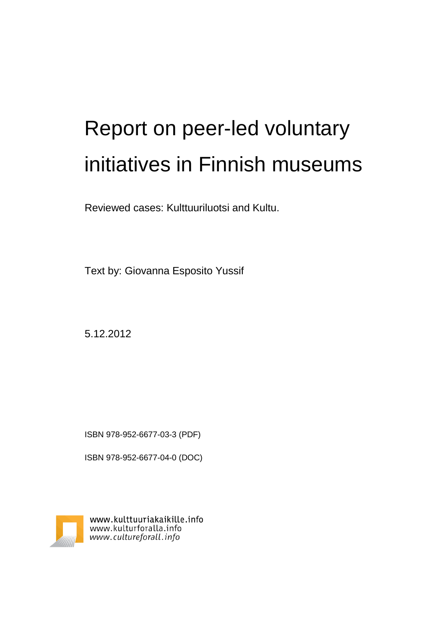# Report on peer-led voluntary initiatives in Finnish museums

Reviewed cases: Kulttuuriluotsi and Kultu.

Text by: Giovanna Esposito Yussif

5.12.2012

ISBN 978-952-6677-03-3 (PDF)

ISBN 978-952-6677-04-0 (DOC)



www.kulttuuriakaikille.info www.kulturforalla.info www.cultureforall.info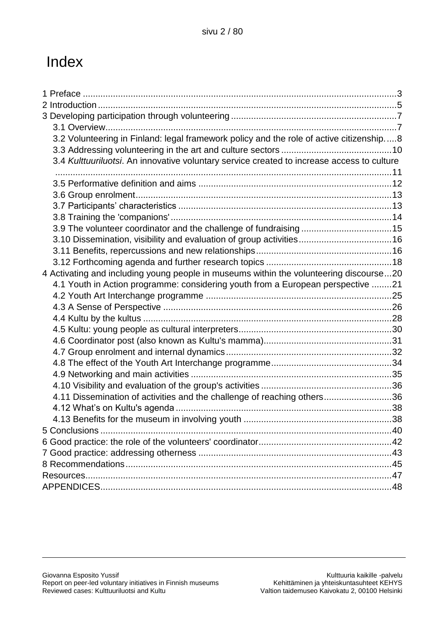# Index

| 3.2 Volunteering in Finland: legal framework policy and the role of active citizenship8    |  |
|--------------------------------------------------------------------------------------------|--|
|                                                                                            |  |
| 3.4 Kulttuuriluotsi. An innovative voluntary service created to increase access to culture |  |
|                                                                                            |  |
|                                                                                            |  |
|                                                                                            |  |
|                                                                                            |  |
|                                                                                            |  |
|                                                                                            |  |
|                                                                                            |  |
|                                                                                            |  |
| 4 Activating and including young people in museums within the volunteering discourse20     |  |
| 4.1 Youth in Action programme: considering youth from a European perspective 21            |  |
|                                                                                            |  |
|                                                                                            |  |
|                                                                                            |  |
|                                                                                            |  |
|                                                                                            |  |
|                                                                                            |  |
|                                                                                            |  |
|                                                                                            |  |
|                                                                                            |  |
| 4.11 Dissemination of activities and the challenge of reaching others36                    |  |
|                                                                                            |  |
|                                                                                            |  |
|                                                                                            |  |
|                                                                                            |  |
|                                                                                            |  |
|                                                                                            |  |
|                                                                                            |  |
|                                                                                            |  |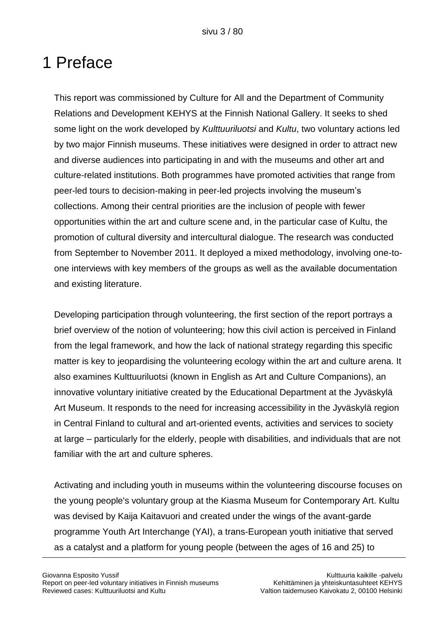# 1 Preface

This report was commissioned by Culture for All and the Department of Community Relations and Development KEHYS at the Finnish National Gallery. It seeks to shed some light on the work developed by *Kulttuuriluotsi* and *Kultu*, two voluntary actions led by two major Finnish museums. These initiatives were designed in order to attract new and diverse audiences into participating in and with the museums and other art and culture-related institutions. Both programmes have promoted activities that range from peer-led tours to decision-making in peer-led projects involving the museum"s collections. Among their central priorities are the inclusion of people with fewer opportunities within the art and culture scene and, in the particular case of Kultu, the promotion of cultural diversity and intercultural dialogue. The research was conducted from September to November 2011. It deployed a mixed methodology, involving one-toone interviews with key members of the groups as well as the available documentation and existing literature.

Developing participation through volunteering, the first section of the report portrays a brief overview of the notion of volunteering; how this civil action is perceived in Finland from the legal framework, and how the lack of national strategy regarding this specific matter is key to jeopardising the volunteering ecology within the art and culture arena. It also examines Kulttuuriluotsi (known in English as Art and Culture Companions), an innovative voluntary initiative created by the Educational Department at the Jyväskylä Art Museum. It responds to the need for increasing accessibility in the Jyväskylä region in Central Finland to cultural and art-oriented events, activities and services to society at large – particularly for the elderly, people with disabilities, and individuals that are not familiar with the art and culture spheres.

Activating and including youth in museums within the volunteering discourse focuses on the young people's voluntary group at the Kiasma Museum for Contemporary Art. Kultu was devised by Kaija Kaitavuori and created under the wings of the avant-garde programme Youth Art Interchange (YAI), a trans-European youth initiative that served as a catalyst and a platform for young people (between the ages of 16 and 25) to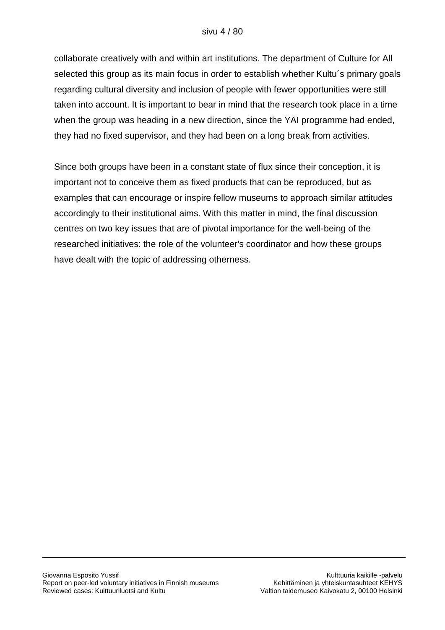### sivu 4 / 80

collaborate creatively with and within art institutions. The department of Culture for All selected this group as its main focus in order to establish whether Kultu´s primary goals regarding cultural diversity and inclusion of people with fewer opportunities were still taken into account. It is important to bear in mind that the research took place in a time when the group was heading in a new direction, since the YAI programme had ended, they had no fixed supervisor, and they had been on a long break from activities.

Since both groups have been in a constant state of flux since their conception, it is important not to conceive them as fixed products that can be reproduced, but as examples that can encourage or inspire fellow museums to approach similar attitudes accordingly to their institutional aims. With this matter in mind, the final discussion centres on two key issues that are of pivotal importance for the well-being of the researched initiatives: the role of the volunteer's coordinator and how these groups have dealt with the topic of addressing otherness.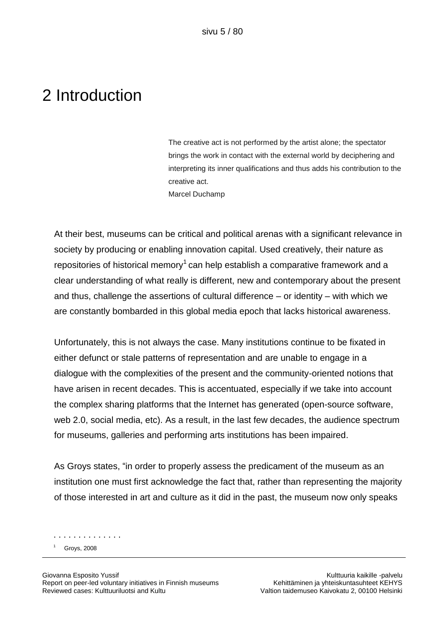# 2 Introduction

The creative act is not performed by the artist alone; the spectator brings the work in contact with the external world by deciphering and interpreting its inner qualifications and thus adds his contribution to the creative act. Marcel Duchamp

At their best, museums can be critical and political arenas with a significant relevance in society by producing or enabling innovation capital. Used creatively, their nature as repositories of historical memory<sup>1</sup> can help establish a comparative framework and a clear understanding of what really is different, new and contemporary about the present and thus, challenge the assertions of cultural difference – or identity – with which we are constantly bombarded in this global media epoch that lacks historical awareness.

Unfortunately, this is not always the case. Many institutions continue to be fixated in either defunct or stale patterns of representation and are unable to engage in a dialogue with the complexities of the present and the community-oriented notions that have arisen in recent decades. This is accentuated, especially if we take into account the complex sharing platforms that the Internet has generated (open-source software, web 2.0, social media, etc). As a result, in the last few decades, the audience spectrum for museums, galleries and performing arts institutions has been impaired.

As Groys states, "in order to properly assess the predicament of the museum as an institution one must first acknowledge the fact that, rather than representing the majority of those interested in art and culture as it did in the past, the museum now only speaks

Groys, 2008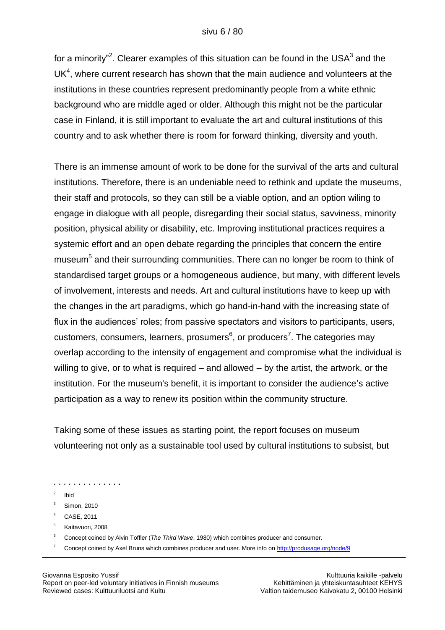#### sivu 6 / 80

for a minority"<sup>2</sup>. Clearer examples of this situation can be found in the USA<sup>3</sup> and the  $UK<sup>4</sup>$ , where current research has shown that the main audience and volunteers at the institutions in these countries represent predominantly people from a white ethnic background who are middle aged or older. Although this might not be the particular case in Finland, it is still important to evaluate the art and cultural institutions of this country and to ask whether there is room for forward thinking, diversity and youth.

There is an immense amount of work to be done for the survival of the arts and cultural institutions. Therefore, there is an undeniable need to rethink and update the museums, their staff and protocols, so they can still be a viable option, and an option wiling to engage in dialogue with all people, disregarding their social status, savviness, minority position, physical ability or disability, etc. Improving institutional practices requires a systemic effort and an open debate regarding the principles that concern the entire museum<sup>5</sup> and their surrounding communities. There can no longer be room to think of standardised target groups or a homogeneous audience, but many, with different levels of involvement, interests and needs. Art and cultural institutions have to keep up with the changes in the art paradigms, which go hand-in-hand with the increasing state of flux in the audiences' roles; from passive spectators and visitors to participants, users, customers, consumers, learners, prosumers<sup>6</sup>, or producers<sup>7</sup>. The categories may overlap according to the intensity of engagement and compromise what the individual is willing to give, or to what is required – and allowed – by the artist, the artwork, or the institution. For the museum's benefit, it is important to consider the audience's active participation as a way to renew its position within the community structure.

Taking some of these issues as starting point, the report focuses on museum volunteering not only as a sustainable tool used by cultural institutions to subsist, but

- . . . . . . . . . . . . . .
- 2 Ibid
- <sup>3</sup> Simon, 2010
- <sup>4</sup> CASE, 2011
- <sup>5</sup> Kaitavuori, 2008
- <sup>6</sup> Concept coined by Alvin Toffler (*The Third Wave*, 1980) which combines producer and consumer.
- <sup>7</sup> Concept coined by Axel Bruns which combines producer and user. More info o[n http://produsage.org/node/9](http://produsage.org/node/9)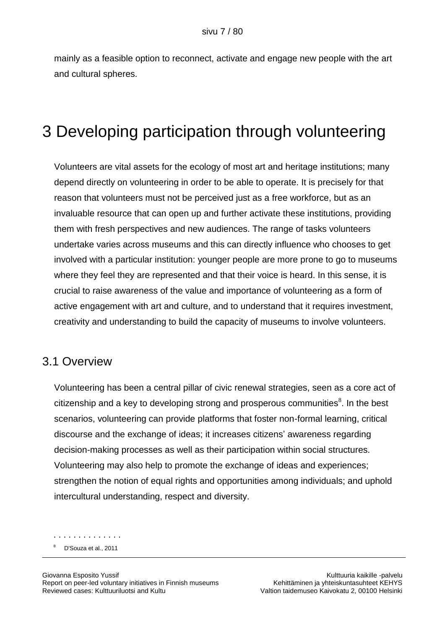mainly as a feasible option to reconnect, activate and engage new people with the art and cultural spheres.

# 3 Developing participation through volunteering

Volunteers are vital assets for the ecology of most art and heritage institutions; many depend directly on volunteering in order to be able to operate. It is precisely for that reason that volunteers must not be perceived just as a free workforce, but as an invaluable resource that can open up and further activate these institutions, providing them with fresh perspectives and new audiences. The range of tasks volunteers undertake varies across museums and this can directly influence who chooses to get involved with a particular institution: younger people are more prone to go to museums where they feel they are represented and that their voice is heard. In this sense, it is crucial to raise awareness of the value and importance of volunteering as a form of active engagement with art and culture, and to understand that it requires investment, creativity and understanding to build the capacity of museums to involve volunteers.

### 3.1 Overview

Volunteering has been a central pillar of civic renewal strategies, seen as a core act of citizenship and a key to developing strong and prosperous communities ${}^{8}$ . In the best scenarios, volunteering can provide platforms that foster non-formal learning, critical discourse and the exchange of ideas; it increases citizens" awareness regarding decision-making processes as well as their participation within social structures. Volunteering may also help to promote the exchange of ideas and experiences; strengthen the notion of equal rights and opportunities among individuals; and uphold intercultural understanding, respect and diversity.

. . . . . . . . . . . . . . <sup>8</sup> D'Souza et al., 2011

Giovanna Esposito Yussif Kulttuuria kaikille -palvelu Report on peer-led voluntary initiatives in Finnish museums Kehittäminen ja yhteiskuntasuhteet KEHYS Reviewed cases: Kulttuuriluotsi and Kultu Valtion taidemuseo Kaivokatu 2, 00100 Helsinki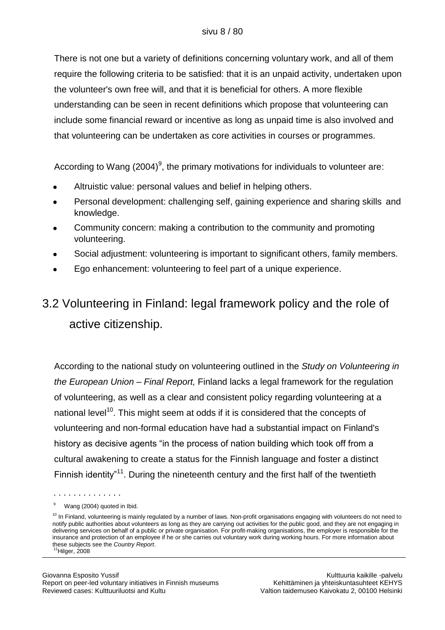There is not one but a variety of definitions concerning voluntary work, and all of them require the following criteria to be satisfied: that it is an unpaid activity, undertaken upon the volunteer's own free will, and that it is beneficial for others. A more flexible understanding can be seen in recent definitions which propose that volunteering can include some financial reward or incentive as long as unpaid time is also involved and that volunteering can be undertaken as core activities in courses or programmes.

According to Wang (2004)<sup>9</sup>, the primary motivations for individuals to volunteer are:

- Altruistic value: personal values and belief in helping others.
- Personal development: challenging self, gaining experience and sharing skills and knowledge.
- Community concern: making a contribution to the community and promoting volunteering.
- Social adjustment: volunteering is important to significant others, family members.
- Ego enhancement: volunteering to feel part of a unique experience.

# 3.2 Volunteering in Finland: legal framework policy and the role of active citizenship.

According to the national study on volunteering outlined in the *Study on Volunteering in the European Union – Final Report,* Finland lacks a legal framework for the regulation of volunteering, as well as a clear and consistent policy regarding volunteering at a national level<sup>10</sup>. This might seem at odds if it is considered that the concepts of volunteering and non-formal education have had a substantial impact on Finland's history as decisive agents "in the process of nation building which took off from a cultural awakening to create a status for the Finnish language and foster a distinct Finnish identity<sup>"11</sup>. During the nineteenth century and the first half of the twentieth

Wang (2004) quoted in Ibid.

 $10$  In Finland, volunteering is mainly regulated by a number of laws. Non-profit organisations engaging with volunteers do not need to notify public authorities about volunteers as long as they are carrying out activities for the public good, and they are not engaging in delivering services on behalf of a public or private organisation. For profit-making organisations, the employer is responsible for the insurance and protection of an employee if he or she carries out voluntary work during working hours. For more information about these subjects see the *Country Report*.  $11$ Hilger, 2008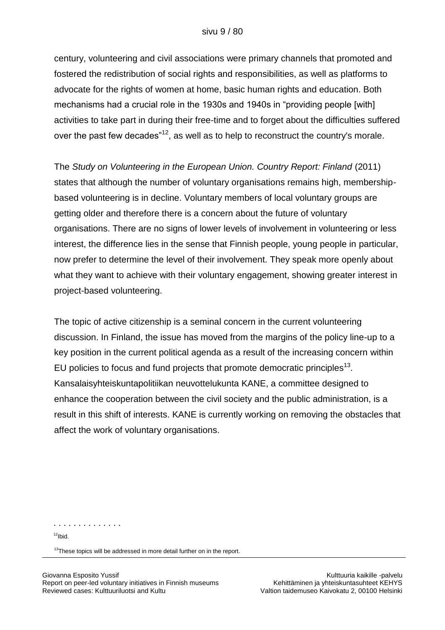#### sivu 9 / 80

century, volunteering and civil associations were primary channels that promoted and fostered the redistribution of social rights and responsibilities, as well as platforms to advocate for the rights of women at home, basic human rights and education. Both mechanisms had a crucial role in the 1930s and 1940s in "providing people [with] activities to take part in during their free-time and to forget about the difficulties suffered over the past few decades<sup> $12$ </sup>, as well as to help to reconstruct the country's morale.

The *Study on Volunteering in the European Union. Country Report: Finland* (2011) states that although the number of voluntary organisations remains high, membershipbased volunteering is in decline. Voluntary members of local voluntary groups are getting older and therefore there is a concern about the future of voluntary organisations. There are no signs of lower levels of involvement in volunteering or less interest, the difference lies in the sense that Finnish people, young people in particular, now prefer to determine the level of their involvement. They speak more openly about what they want to achieve with their voluntary engagement, showing greater interest in project-based volunteering.

The topic of active citizenship is a seminal concern in the current volunteering discussion. In Finland, the issue has moved from the margins of the policy line-up to a key position in the current political agenda as a result of the increasing concern within EU policies to focus and fund projects that promote democratic principles<sup>13</sup>. Kansalaisyhteiskuntapolitiikan neuvottelukunta KANE, a committee designed to enhance the cooperation between the civil society and the public administration, is a result in this shift of interests. KANE is currently working on removing the obstacles that affect the work of voluntary organisations.

. . . . . . . . . . . . . .

 $12$ Ibid.

<sup>13</sup>These topics will be addressed in more detail further on in the report.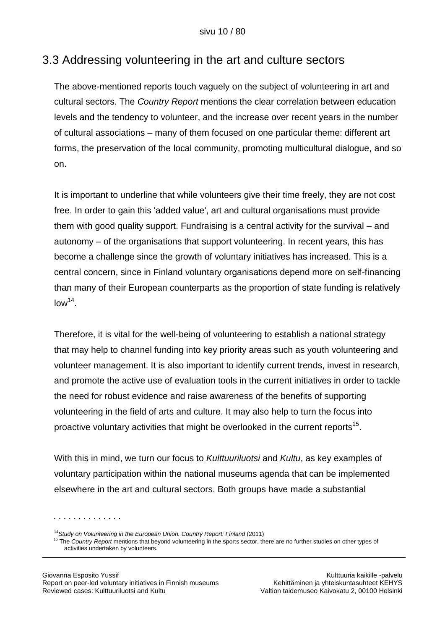## 3.3 Addressing volunteering in the art and culture sectors

The above-mentioned reports touch vaguely on the subject of volunteering in art and cultural sectors. The *Country Report* mentions the clear correlation between education levels and the tendency to volunteer, and the increase over recent years in the number of cultural associations – many of them focused on one particular theme: different art forms, the preservation of the local community, promoting multicultural dialogue, and so on.

It is important to underline that while volunteers give their time freely, they are not cost free. In order to gain this 'added value', art and cultural organisations must provide them with good quality support. Fundraising is a central activity for the survival – and autonomy – of the organisations that support volunteering. In recent years, this has become a challenge since the growth of voluntary initiatives has increased. This is a central concern, since in Finland voluntary organisations depend more on self-financing than many of their European counterparts as the proportion of state funding is relatively  $low<sup>14</sup>$ .

Therefore, it is vital for the well-being of volunteering to establish a national strategy that may help to channel funding into key priority areas such as youth volunteering and volunteer management. It is also important to identify current trends, invest in research, and promote the active use of evaluation tools in the current initiatives in order to tackle the need for robust evidence and raise awareness of the benefits of supporting volunteering in the field of arts and culture. It may also help to turn the focus into proactive voluntary activities that might be overlooked in the current reports<sup>15</sup>.

With this in mind, we turn our focus to *Kulttuuriluotsi* and *Kultu*, as key examples of voluntary participation within the national museums agenda that can be implemented elsewhere in the art and cultural sectors. Both groups have made a substantial

<sup>14</sup> Study on Volunteering in the European Union. Country Report: Finland (2011)

<sup>15</sup> The *Country Report* mentions that beyond volunteering in the sports sector, there are no further studies on other types of activities undertaken by volunteers.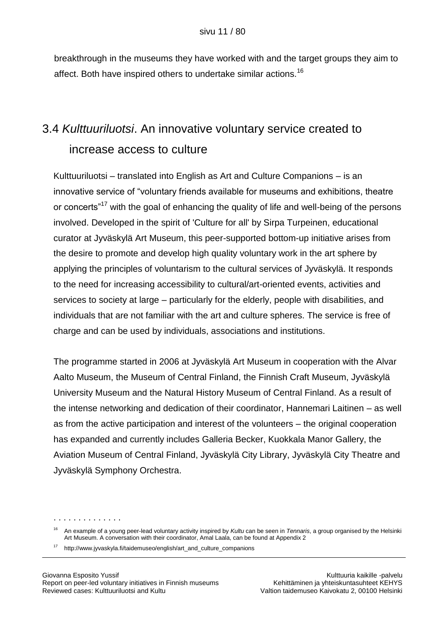breakthrough in the museums they have worked with and the target groups they aim to affect. Both have inspired others to undertake similar actions.<sup>16</sup>

# 3.4 *Kulttuuriluotsi*. An innovative voluntary service created to increase access to culture

Kulttuuriluotsi – translated into English as Art and Culture Companions – is an innovative service of "voluntary friends available for museums and exhibitions, theatre or concerts<sup>"17</sup> with the goal of enhancing the quality of life and well-being of the persons involved. Developed in the spirit of 'Culture for all' by Sirpa Turpeinen, educational curator at Jyväskylä Art Museum, this peer-supported bottom-up initiative arises from the desire to promote and develop high quality voluntary work in the art sphere by applying the principles of voluntarism to the cultural services of Jyväskylä. It responds to the need for increasing accessibility to cultural/art-oriented events, activities and services to society at large – particularly for the elderly, people with disabilities, and individuals that are not familiar with the art and culture spheres. The service is free of charge and can be used by individuals, associations and institutions.

The programme started in 2006 at Jyväskylä Art Museum in cooperation with the Alvar Aalto Museum, the Museum of Central Finland, the Finnish Craft Museum, Jyväskylä University Museum and the Natural History Museum of Central Finland. As a result of the intense networking and dedication of their coordinator, Hannemari Laitinen – as well as from the active participation and interest of the volunteers – the original cooperation has expanded and currently includes Galleria Becker, Kuokkala Manor Gallery, the Aviation Museum of Central Finland, Jyväskylä City Library, Jyväskylä City Theatre and Jyväskylä Symphony Orchestra.

<sup>16</sup> An example of a young peer-lead voluntary activity inspired by *Kultu* can be seen in *Tennaris*, a group organised by the Helsinki Art Museum. A conversation with their coordinator, Amal Laala, can be found at Appendix 2

<sup>17</sup> http://www.jyvaskyla.fi/taidemuseo/english/art\_and\_culture\_companions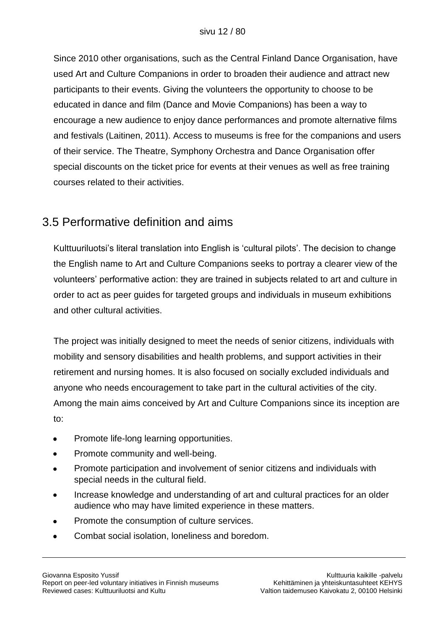Since 2010 other organisations, such as the Central Finland Dance Organisation, have used Art and Culture Companions in order to broaden their audience and attract new participants to their events. Giving the volunteers the opportunity to choose to be educated in dance and film (Dance and Movie Companions) has been a way to encourage a new audience to enjoy dance performances and promote alternative films and festivals (Laitinen, 2011). Access to museums is free for the companions and users of their service. The Theatre, Symphony Orchestra and Dance Organisation offer special discounts on the ticket price for events at their venues as well as free training courses related to their activities.

## 3.5 Performative definition and aims

Kulttuuriluotsi"s literal translation into English is "cultural pilots". The decision to change the English name to Art and Culture Companions seeks to portray a clearer view of the volunteers" performative action: they are trained in subjects related to art and culture in order to act as peer guides for targeted groups and individuals in museum exhibitions and other cultural activities.

The project was initially designed to meet the needs of senior citizens, individuals with mobility and sensory disabilities and health problems, and support activities in their retirement and nursing homes. It is also focused on socially excluded individuals and anyone who needs encouragement to take part in the cultural activities of the city. Among the main aims conceived by Art and Culture Companions since its inception are to:

- Promote life-long learning opportunities.
- Promote community and well-being.
- Promote participation and involvement of senior citizens and individuals with  $\bullet$ special needs in the cultural field.
- Increase knowledge and understanding of art and cultural practices for an older audience who may have limited experience in these matters.
- Promote the consumption of culture services.
- Combat social isolation, loneliness and boredom.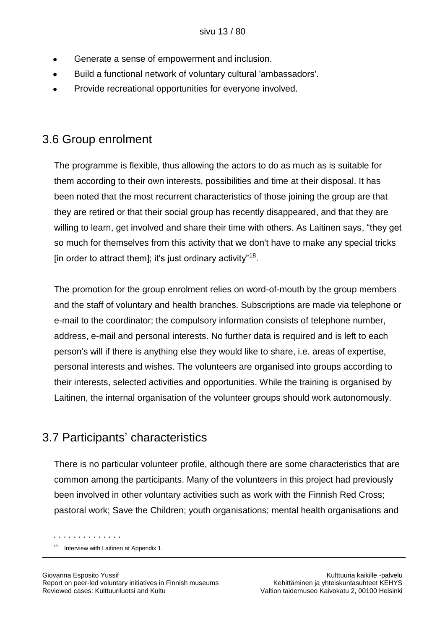- Generate a sense of empowerment and inclusion.
- Build a functional network of voluntary cultural 'ambassadors'.
- Provide recreational opportunities for everyone involved.

### 3.6 Group enrolment

The programme is flexible, thus allowing the actors to do as much as is suitable for them according to their own interests, possibilities and time at their disposal. It has been noted that the most recurrent characteristics of those joining the group are that they are retired or that their social group has recently disappeared, and that they are willing to learn, get involved and share their time with others. As Laitinen says, "they get so much for themselves from this activity that we don't have to make any special tricks [in order to attract them]; it's just ordinary activity"<sup>18</sup>.

The promotion for the group enrolment relies on word-of-mouth by the group members and the staff of voluntary and health branches. Subscriptions are made via telephone or e-mail to the coordinator; the compulsory information consists of telephone number, address, e-mail and personal interests. No further data is required and is left to each person's will if there is anything else they would like to share, i.e. areas of expertise, personal interests and wishes. The volunteers are organised into groups according to their interests, selected activities and opportunities. While the training is organised by Laitinen, the internal organisation of the volunteer groups should work autonomously.

## 3.7 Participants" characteristics

There is no particular volunteer profile, although there are some characteristics that are common among the participants. Many of the volunteers in this project had previously been involved in other voluntary activities such as work with the Finnish Red Cross; pastoral work; Save the Children; youth organisations; mental health organisations and

<sup>&</sup>lt;sup>18</sup> Interview with Laitinen at Appendix 1.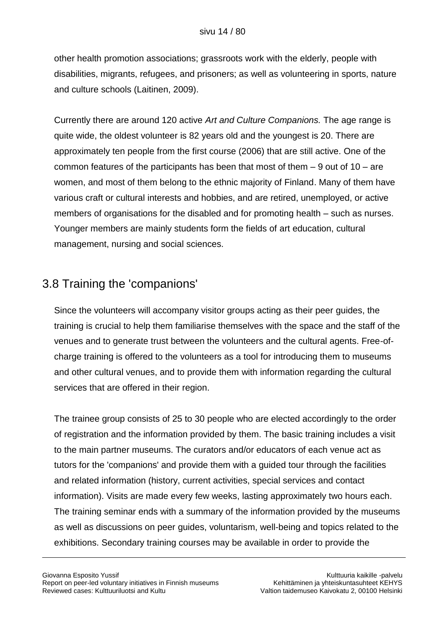other health promotion associations; grassroots work with the elderly, people with disabilities, migrants, refugees, and prisoners; as well as volunteering in sports, nature and culture schools (Laitinen, 2009).

Currently there are around 120 active *Art and Culture Companions.* The age range is quite wide, the oldest volunteer is 82 years old and the youngest is 20. There are approximately ten people from the first course (2006) that are still active. One of the common features of the participants has been that most of them – 9 out of 10 – are women, and most of them belong to the ethnic majority of Finland. Many of them have various craft or cultural interests and hobbies, and are retired, unemployed, or active members of organisations for the disabled and for promoting health – such as nurses. Younger members are mainly students form the fields of art education, cultural management, nursing and social sciences.

## 3.8 Training the 'companions'

Since the volunteers will accompany visitor groups acting as their peer guides, the training is crucial to help them familiarise themselves with the space and the staff of the venues and to generate trust between the volunteers and the cultural agents. Free-ofcharge training is offered to the volunteers as a tool for introducing them to museums and other cultural venues, and to provide them with information regarding the cultural services that are offered in their region.

The trainee group consists of 25 to 30 people who are elected accordingly to the order of registration and the information provided by them. The basic training includes a visit to the main partner museums. The curators and/or educators of each venue act as tutors for the 'companions' and provide them with a guided tour through the facilities and related information (history, current activities, special services and contact information). Visits are made every few weeks, lasting approximately two hours each. The training seminar ends with a summary of the information provided by the museums as well as discussions on peer guides, voluntarism, well-being and topics related to the exhibitions. Secondary training courses may be available in order to provide the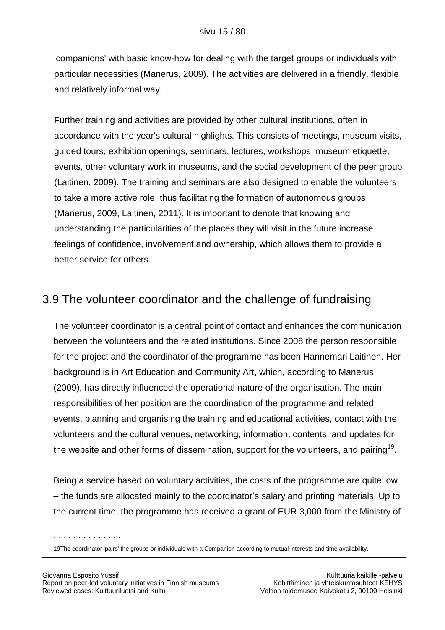'companions' with basic know-how for dealing with the target groups or individuals with particular necessities (Manerus, 2009). The activities are delivered in a friendly, flexible and relatively informal way.

Further training and activities are provided by other cultural institutions, often in accordance with the year's cultural highlights. This consists of meetings, museum visits, guided tours, exhibition openings, seminars, lectures, workshops, museum etiquette, events, other voluntary work in museums, and the social development of the peer group (Laitinen, 2009). The training and seminars are also designed to enable the volunteers to take a more active role, thus facilitating the formation of autonomous groups (Manerus, 2009, Laitinen, 2011). It is important to denote that knowing and understanding the particularities of the places they will visit in the future increase feelings of confidence, involvement and ownership, which allows them to provide a better service for others.

### 3.9 The volunteer coordinator and the challenge of fundraising

The volunteer coordinator is a central point of contact and enhances the communication between the volunteers and the related institutions. Since 2008 the person responsible for the project and the coordinator of the programme has been Hannemari Laitinen. Her background is in Art Education and Community Art, which, according to Manerus (2009), has directly influenced the operational nature of the organisation. The main responsibilities of her position are the coordination of the programme and related events, planning and organising the training and educational activities, contact with the volunteers and the cultural venues, networking, information, contents, and updates for the website and other forms of dissemination, support for the volunteers, and pairing<sup>19</sup>.

Being a service based on voluntary activities, the costs of the programme are quite low – the funds are allocated mainly to the coordinator"s salary and printing materials. Up to the current time, the programme has received a grant of EUR 3,000 from the Ministry of

<sup>19</sup>The coordinator 'pairs' the groups or individuals with a Companion according to mutual interests and time availability.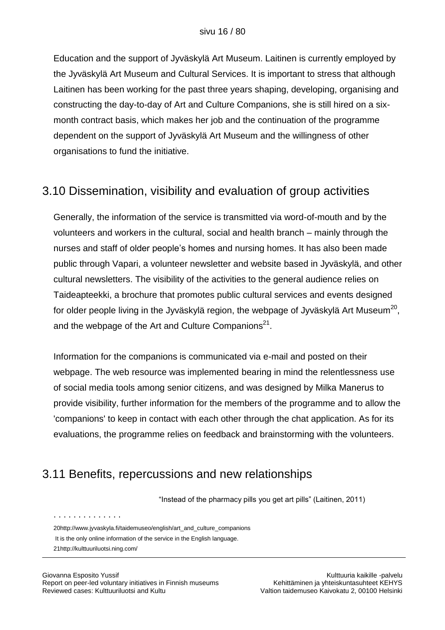Education and the support of Jyväskylä Art Museum. Laitinen is currently employed by the Jyväskylä Art Museum and Cultural Services. It is important to stress that although Laitinen has been working for the past three years shaping, developing, organising and constructing the day-to-day of Art and Culture Companions, she is still hired on a sixmonth contract basis, which makes her job and the continuation of the programme dependent on the support of Jyväskylä Art Museum and the willingness of other organisations to fund the initiative.

## 3.10 Dissemination, visibility and evaluation of group activities

Generally, the information of the service is transmitted via word-of-mouth and by the volunteers and workers in the cultural, social and health branch – mainly through the nurses and staff of older people"s homes and nursing homes. It has also been made public through Vapari, a volunteer newsletter and website based in Jyväskylä, and other cultural newsletters. The visibility of the activities to the general audience relies on Taideapteekki, a brochure that promotes public cultural services and events designed for older people living in the Jyväskylä region, the webpage of Jyväskylä Art Museum $^{20}$ , and the webpage of the Art and Culture Companions<sup>21</sup>.

Information for the companions is communicated via e-mail and posted on their webpage. The web resource was implemented bearing in mind the relentlessness use of social media tools among senior citizens, and was designed by Milka Manerus to provide visibility, further information for the members of the programme and to allow the 'companions' to keep in contact with each other through the chat application. As for its evaluations, the programme relies on feedback and brainstorming with the volunteers.

## 3.11 Benefits, repercussions and new relationships

"Instead of the pharmacy pills you get art pills" (Laitinen, 2011)

[20http://www.jyvaskyla.fi/taidemuseo/english/art\\_and\\_culture\\_companions](http://www.jyvaskyla.fi/taidemuseo/english/art_and_culture_companions)

It is the only online information of the service in the English language.

[<sup>21</sup>http://kulttuuriluotsi.ning.com/](http://kulttuuriluotsi.ning.com/)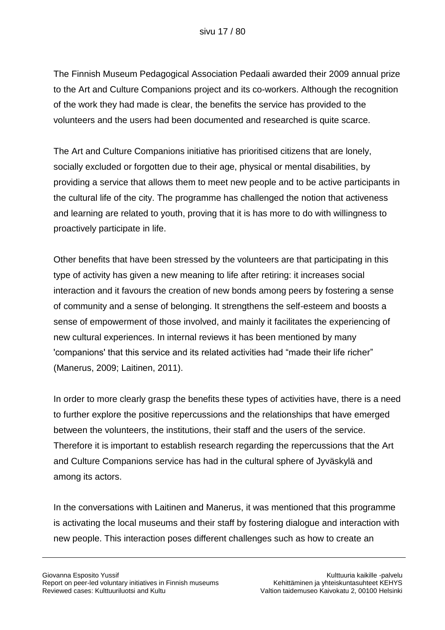The Finnish Museum Pedagogical Association Pedaali awarded their 2009 annual prize to the Art and Culture Companions project and its co-workers. Although the recognition of the work they had made is clear, the benefits the service has provided to the volunteers and the users had been documented and researched is quite scarce.

The Art and Culture Companions initiative has prioritised citizens that are lonely, socially excluded or forgotten due to their age, physical or mental disabilities, by providing a service that allows them to meet new people and to be active participants in the cultural life of the city. The programme has challenged the notion that activeness and learning are related to youth, proving that it is has more to do with willingness to proactively participate in life.

Other benefits that have been stressed by the volunteers are that participating in this type of activity has given a new meaning to life after retiring: it increases social interaction and it favours the creation of new bonds among peers by fostering a sense of community and a sense of belonging. It strengthens the self-esteem and boosts a sense of empowerment of those involved, and mainly it facilitates the experiencing of new cultural experiences. In internal reviews it has been mentioned by many 'companions' that this service and its related activities had "made their life richer" (Manerus, 2009; Laitinen, 2011).

In order to more clearly grasp the benefits these types of activities have, there is a need to further explore the positive repercussions and the relationships that have emerged between the volunteers, the institutions, their staff and the users of the service. Therefore it is important to establish research regarding the repercussions that the Art and Culture Companions service has had in the cultural sphere of Jyväskylä and among its actors.

In the conversations with Laitinen and Manerus, it was mentioned that this programme is activating the local museums and their staff by fostering dialogue and interaction with new people. This interaction poses different challenges such as how to create an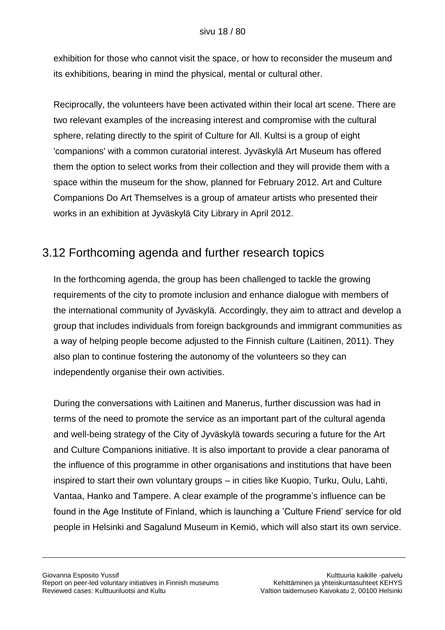exhibition for those who cannot visit the space, or how to reconsider the museum and its exhibitions, bearing in mind the physical, mental or cultural other.

Reciprocally, the volunteers have been activated within their local art scene. There are two relevant examples of the increasing interest and compromise with the cultural sphere, relating directly to the spirit of Culture for All. Kultsi is a group of eight 'companions' with a common curatorial interest. Jyväskylä Art Museum has offered them the option to select works from their collection and they will provide them with a space within the museum for the show, planned for February 2012. Art and Culture Companions Do Art Themselves is a group of amateur artists who presented their works in an exhibition at Jyväskylä City Library in April 2012.

## 3.12 Forthcoming agenda and further research topics

In the forthcoming agenda, the group has been challenged to tackle the growing requirements of the city to promote inclusion and enhance dialogue with members of the international community of Jyväskylä. Accordingly, they aim to attract and develop a group that includes individuals from foreign backgrounds and immigrant communities as a way of helping people become adjusted to the Finnish culture (Laitinen, 2011). They also plan to continue fostering the autonomy of the volunteers so they can independently organise their own activities.

During the conversations with Laitinen and Manerus, further discussion was had in terms of the need to promote the service as an important part of the cultural agenda and well-being strategy of the City of Jyväskylä towards securing a future for the Art and Culture Companions initiative. It is also important to provide a clear panorama of the influence of this programme in other organisations and institutions that have been inspired to start their own voluntary groups – in cities like Kuopio, Turku, Oulu, Lahti, Vantaa, Hanko and Tampere. A clear example of the programme"s influence can be found in the Age Institute of Finland, which is launching a "Culture Friend" service for old people in Helsinki and Sagalund Museum in Kemiö, which will also start its own service.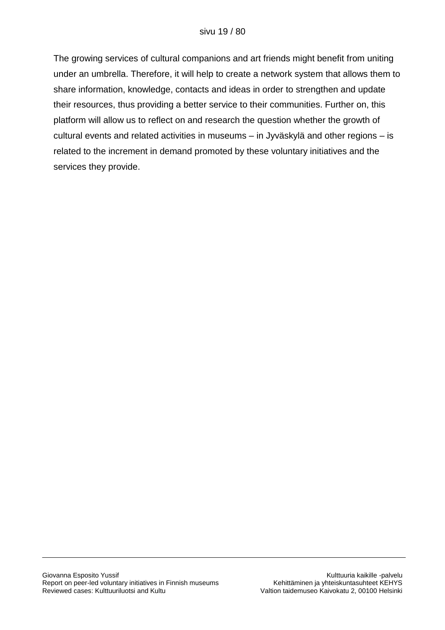The growing services of cultural companions and art friends might benefit from uniting under an umbrella. Therefore, it will help to create a network system that allows them to share information, knowledge, contacts and ideas in order to strengthen and update their resources, thus providing a better service to their communities. Further on, this platform will allow us to reflect on and research the question whether the growth of cultural events and related activities in museums – in Jyväskylä and other regions – is related to the increment in demand promoted by these voluntary initiatives and the services they provide.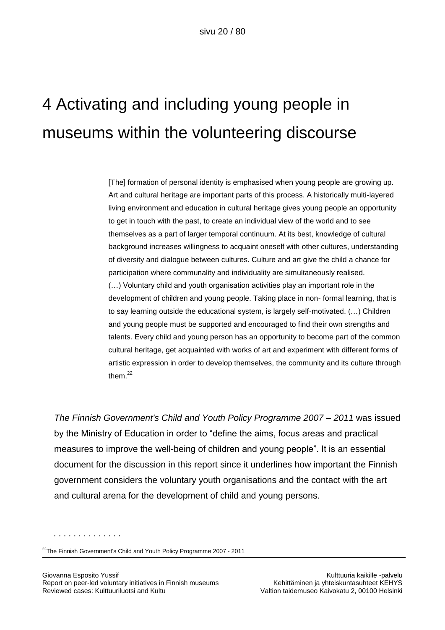# 4 Activating and including young people in museums within the volunteering discourse

[The] formation of personal identity is emphasised when young people are growing up. Art and cultural heritage are important parts of this process. A historically multi-layered living environment and education in cultural heritage gives young people an opportunity to get in touch with the past, to create an individual view of the world and to see themselves as a part of larger temporal continuum. At its best, knowledge of cultural background increases willingness to acquaint oneself with other cultures, understanding of diversity and dialogue between cultures. Culture and art give the child a chance for participation where communality and individuality are simultaneously realised. (…) Voluntary child and youth organisation activities play an important role in the development of children and young people. Taking place in non- formal learning, that is to say learning outside the educational system, is largely self-motivated. (…) Children and young people must be supported and encouraged to find their own strengths and talents. Every child and young person has an opportunity to become part of the common cultural heritage, get acquainted with works of art and experiment with different forms of artistic expression in order to develop themselves, the community and its culture through them.<sup>22</sup>

*The Finnish Government's Child and Youth Policy Programme 2007 – 2011* was issued by the Ministry of Education in order to "define the aims, focus areas and practical measures to improve the well-being of children and young people". It is an essential document for the discussion in this report since it underlines how important the Finnish government considers the voluntary youth organisations and the contact with the art and cultural arena for the development of child and young persons.

<sup>&</sup>lt;sup>22</sup>The Finnish Government's Child and Youth Policy Programme 2007 - 2011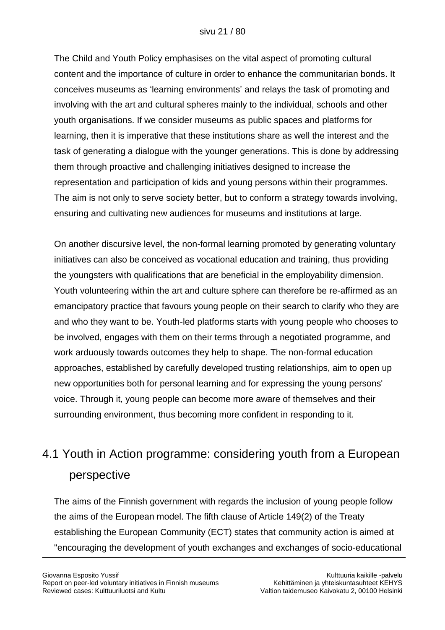The Child and Youth Policy emphasises on the vital aspect of promoting cultural content and the importance of culture in order to enhance the communitarian bonds. It conceives museums as "learning environments" and relays the task of promoting and involving with the art and cultural spheres mainly to the individual, schools and other youth organisations. If we consider museums as public spaces and platforms for learning, then it is imperative that these institutions share as well the interest and the task of generating a dialogue with the younger generations. This is done by addressing them through proactive and challenging initiatives designed to increase the representation and participation of kids and young persons within their programmes. The aim is not only to serve society better, but to conform a strategy towards involving, ensuring and cultivating new audiences for museums and institutions at large.

On another discursive level, the non-formal learning promoted by generating voluntary initiatives can also be conceived as vocational education and training, thus providing the youngsters with qualifications that are beneficial in the employability dimension. Youth volunteering within the art and culture sphere can therefore be re-affirmed as an emancipatory practice that favours young people on their search to clarify who they are and who they want to be. Youth-led platforms starts with young people who chooses to be involved, engages with them on their terms through a negotiated programme, and work arduously towards outcomes they help to shape. The non-formal education approaches, established by carefully developed trusting relationships, aim to open up new opportunities both for personal learning and for expressing the young persons' voice. Through it, young people can become more aware of themselves and their surrounding environment, thus becoming more confident in responding to it.

# 4.1 Youth in Action programme: considering youth from a European perspective

The aims of the Finnish government with regards the inclusion of young people follow the aims of the European model. The fifth clause of Article 149(2) of the Treaty establishing the European Community (ECT) states that community action is aimed at "encouraging the development of youth exchanges and exchanges of socio-educational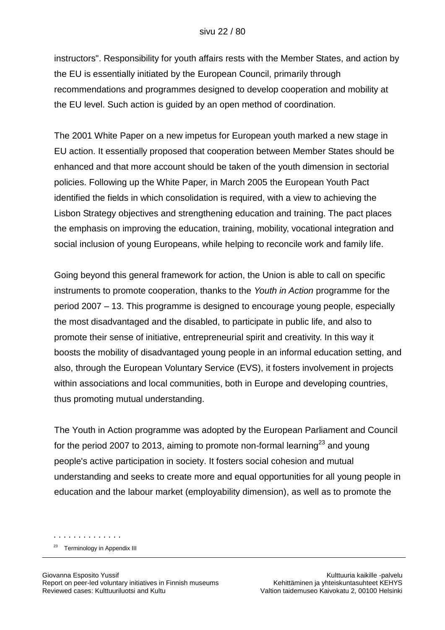instructors". Responsibility for youth affairs rests with the Member States, and action by the EU is essentially initiated by the European Council, primarily through recommendations and programmes designed to develop cooperation and mobility at the EU level. Such action is guided by an open method of coordination.

The 2001 White Paper on a new impetus for European youth marked a new stage in EU action. It essentially proposed that cooperation between Member States should be enhanced and that more account should be taken of the youth dimension in sectorial policies. Following up the White Paper, in March 2005 the European Youth Pact identified the fields in which consolidation is required, with a view to achieving the Lisbon Strategy objectives and strengthening education and training. The pact places the emphasis on improving the education, training, mobility, vocational integration and social inclusion of young Europeans, while helping to reconcile work and family life.

Going beyond this general framework for action, the Union is able to call on specific instruments to promote cooperation, thanks to the *Youth in Action* programme for the period 2007 – 13. This programme is designed to encourage young people, especially the most disadvantaged and the disabled, to participate in public life, and also to promote their sense of initiative, entrepreneurial spirit and creativity. In this way it boosts the mobility of disadvantaged young people in an informal education setting, and also, through the European Voluntary Service (EVS), it fosters involvement in projects within associations and local communities, both in Europe and developing countries, thus promoting mutual understanding.

The Youth in Action programme was adopted by the European Parliament and Council for the period 2007 to 2013, aiming to promote non-formal learning<sup>23</sup> and young people's active participation in society. It fosters social cohesion and mutual understanding and seeks to create more and equal opportunities for all young people in education and the labour market (employability dimension), as well as to promote the

. . . . . . . . . . . . . . <sup>23</sup> Terminology in Appendix III

Giovanna Esposito Yussif Kulttuuria kaikille -palvelu Report on peer-led voluntary initiatives in Finnish museums Kehittäminen ja yhteiskuntasuhteet KEHYS Reviewed cases: Kulttuuriluotsi and Kultu Valtion taidemuseo Kaivokatu 2, 00100 Helsinki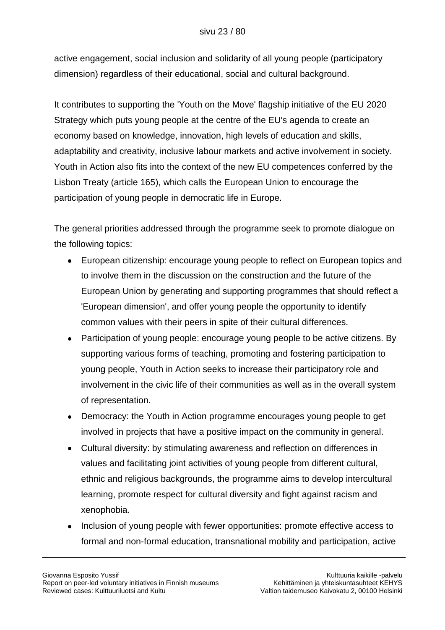active engagement, social inclusion and solidarity of all young people (participatory dimension) regardless of their educational, social and cultural background.

It contributes to supporting the 'Youth on the Move' flagship initiative of the EU 2020 Strategy which puts young people at the centre of the EU's agenda to create an economy based on knowledge, innovation, high levels of education and skills, adaptability and creativity, inclusive labour markets and active involvement in society. Youth in Action also fits into the context of the new EU competences conferred by the Lisbon Treaty (article 165), which calls the European Union to encourage the participation of young people in democratic life in Europe.

The general priorities addressed through the programme seek to promote dialogue on the following topics:

- European citizenship: encourage young people to reflect on European topics and to involve them in the discussion on the construction and the future of the European Union by generating and supporting programmes that should reflect a 'European dimension', and offer young people the opportunity to identify common values with their peers in spite of their cultural differences.
- Participation of young people: encourage young people to be active citizens. By  $\bullet$ supporting various forms of teaching, promoting and fostering participation to young people, Youth in Action seeks to increase their participatory role and involvement in the civic life of their communities as well as in the overall system of representation.
- $\bullet$ Democracy: the Youth in Action programme encourages young people to get involved in projects that have a positive impact on the community in general.
- Cultural diversity: by stimulating awareness and reflection on differences in  $\bullet$ values and facilitating joint activities of young people from different cultural, ethnic and religious backgrounds, the programme aims to develop intercultural learning, promote respect for cultural diversity and fight against racism and xenophobia.
- Inclusion of young people with fewer opportunities: promote effective access to  $\bullet$ formal and non-formal education, transnational mobility and participation, active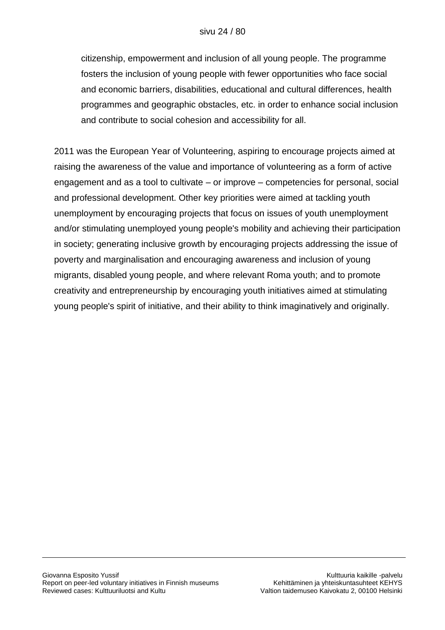citizenship, empowerment and inclusion of all young people. The programme fosters the inclusion of young people with fewer opportunities who face social and economic barriers, disabilities, educational and cultural differences, health programmes and geographic obstacles, etc. in order to enhance social inclusion and contribute to social cohesion and accessibility for all.

2011 was the European Year of Volunteering, aspiring to encourage projects aimed at raising the awareness of the value and importance of volunteering as a form of active engagement and as a tool to cultivate – or improve – competencies for personal, social and professional development. Other key priorities were aimed at tackling youth unemployment by encouraging projects that focus on issues of youth unemployment and/or stimulating unemployed young people's mobility and achieving their participation in society; generating inclusive growth by encouraging projects addressing the issue of poverty and marginalisation and encouraging awareness and inclusion of young migrants, disabled young people, and where relevant Roma youth; and to promote creativity and entrepreneurship by encouraging youth initiatives aimed at stimulating young people's spirit of initiative, and their ability to think imaginatively and originally.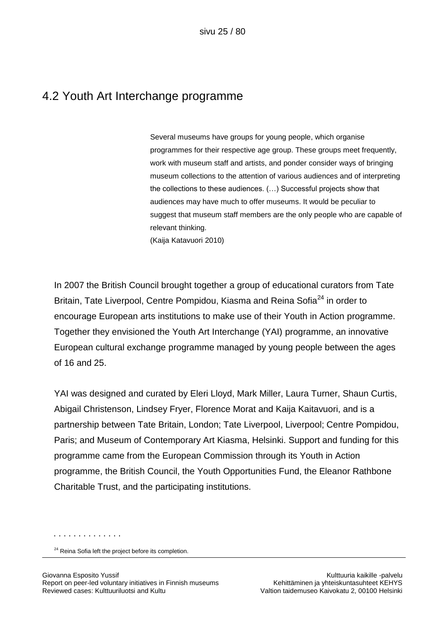### 4.2 Youth Art Interchange programme

Several museums have groups for young people, which organise programmes for their respective age group. These groups meet frequently, work with museum staff and artists, and ponder consider ways of bringing museum collections to the attention of various audiences and of interpreting the collections to these audiences. (…) Successful projects show that audiences may have much to offer museums. It would be peculiar to suggest that museum staff members are the only people who are capable of relevant thinking.

(Kaija Katavuori 2010)

In 2007 the British Council brought together a group of educational curators from Tate Britain, Tate Liverpool, Centre Pompidou, Kiasma and Reina Sofia<sup>24</sup> in order to encourage European arts institutions to make use of their Youth in Action programme. Together they envisioned the Youth Art Interchange (YAI) programme, an innovative European cultural exchange programme managed by young people between the ages of 16 and 25.

YAI was designed and curated by Eleri Lloyd, Mark Miller, Laura Turner, Shaun Curtis, Abigail Christenson, Lindsey Fryer, Florence Morat and Kaija Kaitavuori, and is a partnership between Tate Britain, London; Tate Liverpool, Liverpool; Centre Pompidou, Paris; and Museum of Contemporary Art Kiasma, Helsinki. Support and funding for this programme came from the European Commission through its Youth in Action programme, the British Council, the Youth Opportunities Fund, the Eleanor Rathbone Charitable Trust, and the participating institutions.

<sup>&</sup>lt;sup>24</sup> Reina Sofia left the project before its completion.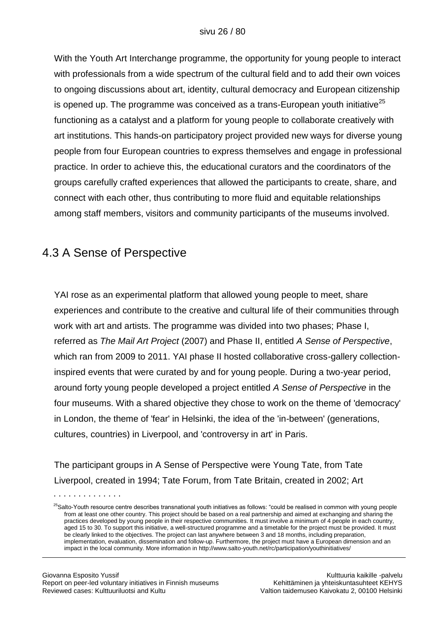With the Youth Art Interchange programme, the opportunity for young people to interact with professionals from a wide spectrum of the cultural field and to add their own voices to ongoing discussions about art, identity, cultural democracy and European citizenship is opened up. The programme was conceived as a trans-European youth initiative<sup>25</sup> functioning as a catalyst and a platform for young people to collaborate creatively with art institutions. This hands-on participatory project provided new ways for diverse young people from four European countries to express themselves and engage in professional practice. In order to achieve this, the educational curators and the coordinators of the groups carefully crafted experiences that allowed the participants to create, share, and connect with each other, thus contributing to more fluid and equitable relationships among staff members, visitors and community participants of the museums involved.

### 4.3 A Sense of Perspective

YAI rose as an experimental platform that allowed young people to meet, share experiences and contribute to the creative and cultural life of their communities through work with art and artists. The programme was divided into two phases; Phase I, referred as *The Mail Art Project* (2007) and Phase II, entitled *A Sense of Perspective*, which ran from 2009 to 2011. YAI phase II hosted collaborative cross-gallery collectioninspired events that were curated by and for young people. During a two-year period, around forty young people developed a project entitled *A Sense of Perspective* in the four museums. With a shared objective they chose to work on the theme of 'democracy' in London, the theme of 'fear' in Helsinki, the idea of the 'in-between' (generations, cultures, countries) in Liverpool, and 'controversy in art' in Paris.

The participant groups in A Sense of Perspective were Young Tate, from Tate Liverpool, created in 1994; Tate Forum, from Tate Britain, created in 2002; Art

<sup>&</sup>lt;sup>25</sup>Salto-Youth resource centre describes transnational youth initiatives as follows: "could be realised in common with young people from at least one other country. This project should be based on a real partnership and aimed at exchanging and sharing the practices developed by young people in their respective communities. It must involve a minimum of 4 people in each country, aged 15 to 30. To support this initiative, a well-structured programme and a timetable for the project must be provided. It must be clearly linked to the objectives. The project can last anywhere between 3 and 18 months, including preparation, implementation, evaluation, dissemination and follow-up. Furthermore, the project must have a European dimension and an impact in the local community. More information in http://www.salto-youth.net/rc/participation/youthinitiatives/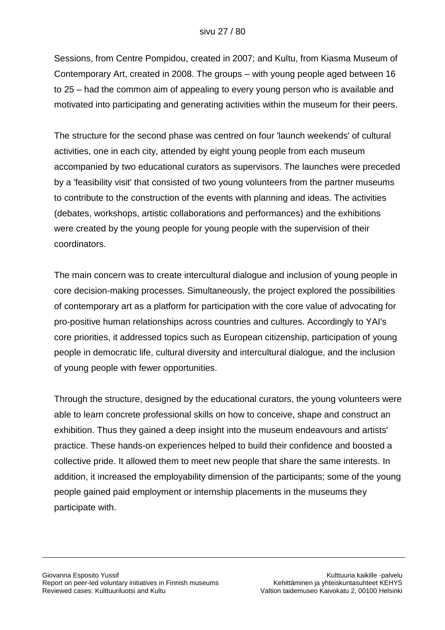Sessions, from Centre Pompidou, created in 2007; and Kultu, from Kiasma Museum of Contemporary Art, created in 2008. The groups – with young people aged between 16 to 25 – had the common aim of appealing to every young person who is available and motivated into participating and generating activities within the museum for their peers.

The structure for the second phase was centred on four 'launch weekends' of cultural activities, one in each city, attended by eight young people from each museum accompanied by two educational curators as supervisors. The launches were preceded by a 'feasibility visit' that consisted of two young volunteers from the partner museums to contribute to the construction of the events with planning and ideas. The activities (debates, workshops, artistic collaborations and performances) and the exhibitions were created by the young people for young people with the supervision of their coordinators.

The main concern was to create intercultural dialogue and inclusion of young people in core decision-making processes. Simultaneously, the project explored the possibilities of contemporary art as a platform for participation with the core value of advocating for pro-positive human relationships across countries and cultures. Accordingly to YAI's core priorities, it addressed topics such as European citizenship, participation of young people in democratic life, cultural diversity and intercultural dialogue, and the inclusion of young people with fewer opportunities.

Through the structure, designed by the educational curators, the young volunteers were able to learn concrete professional skills on how to conceive, shape and construct an exhibition. Thus they gained a deep insight into the museum endeavours and artists' practice. These hands-on experiences helped to build their confidence and boosted a collective pride. It allowed them to meet new people that share the same interests. In addition, it increased the employability dimension of the participants; some of the young people gained paid employment or internship placements in the museums they participate with.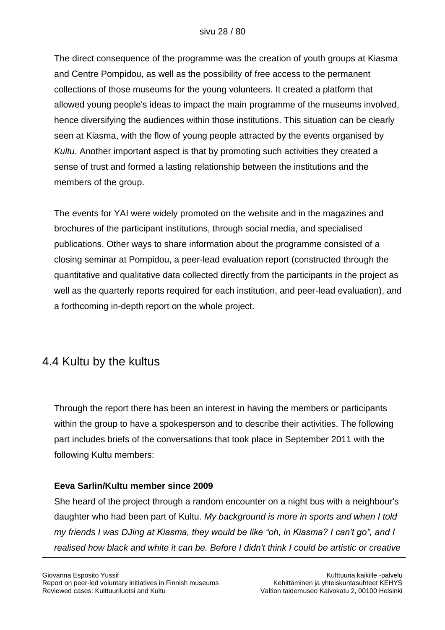The direct consequence of the programme was the creation of youth groups at Kiasma and Centre Pompidou, as well as the possibility of free access to the permanent collections of those museums for the young volunteers. It created a platform that allowed young people's ideas to impact the main programme of the museums involved, hence diversifying the audiences within those institutions. This situation can be clearly seen at Kiasma, with the flow of young people attracted by the events organised by *Kultu*. Another important aspect is that by promoting such activities they created a sense of trust and formed a lasting relationship between the institutions and the members of the group.

The events for YAI were widely promoted on the website and in the magazines and brochures of the participant institutions, through social media, and specialised publications. Other ways to share information about the programme consisted of a closing seminar at Pompidou, a peer-lead evaluation report (constructed through the quantitative and qualitative data collected directly from the participants in the project as well as the quarterly reports required for each institution, and peer-lead evaluation), and a forthcoming in-depth report on the whole project.

### 4.4 Kultu by the kultus

Through the report there has been an interest in having the members or participants within the group to have a spokesperson and to describe their activities. The following part includes briefs of the conversations that took place in September 2011 with the following Kultu members:

### **Eeva Sarlin/Kultu member since 2009**

She heard of the project through a random encounter on a night bus with a neighbour's daughter who had been part of Kultu. *My background is more in sports and when I told my friends I was DJing at Kiasma, they would be like "oh, in Kiasma? I can't go", and I realised how black and white it can be. Before I didn't think I could be artistic or creative*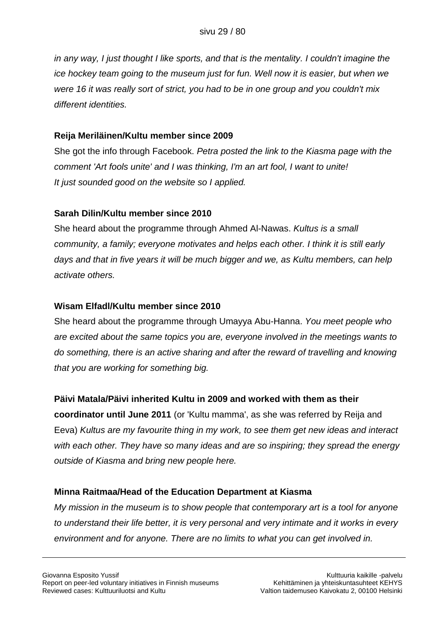*in any way, I just thought I like sports, and that is the mentality. I couldn't imagine the ice hockey team going to the museum just for fun. Well now it is easier, but when we were 16 it was really sort of strict, you had to be in one group and you couldn't mix different identities.*

### **Reija Meriläinen/Kultu member since 2009**

She got the info through Facebook. *Petra posted the link to the Kiasma page with the comment 'Art fools unite' and I was thinking, I'm an art fool, I want to unite! It just sounded good on the website so I applied.*

### **Sarah Dilin/Kultu member since 2010**

She heard about the programme through Ahmed Al-Nawas. *Kultus is a small community, a family; everyone motivates and helps each other. I think it is still early days and that in five years it will be much bigger and we, as Kultu members, can help activate others.*

### **Wisam Elfadl/Kultu member since 2010**

She heard about the programme through Umayya Abu-Hanna. *You meet people who are excited about the same topics you are, everyone involved in the meetings wants to do something, there is an active sharing and after the reward of travelling and knowing that you are working for something big.*

### **Päivi Matala/Päivi inherited Kultu in 2009 and worked with them as their**

**coordinator until June 2011** (or 'Kultu mamma', as she was referred by Reija and Eeva) *Kultus are my favourite thing in my work, to see them get new ideas and interact with each other. They have so many ideas and are so inspiring; they spread the energy outside of Kiasma and bring new people here.*

### **Minna Raitmaa/Head of the Education Department at Kiasma**

*My mission in the museum is to show people that contemporary art is a tool for anyone to understand their life better, it is very personal and very intimate and it works in every environment and for anyone. There are no limits to what you can get involved in.*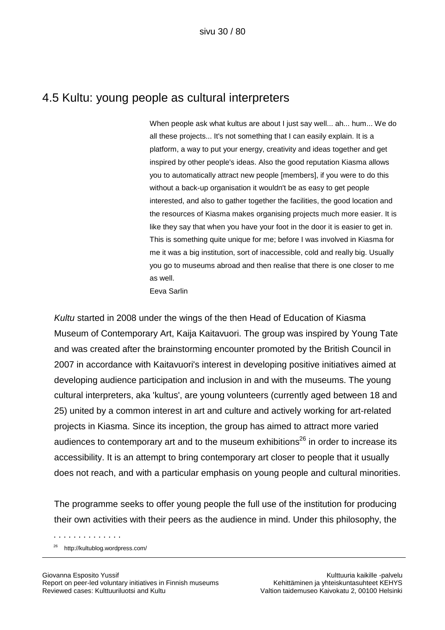### 4.5 Kultu: young people as cultural interpreters

When people ask what kultus are about I just say well... ah... hum... We do all these projects... It's not something that I can easily explain. It is a platform, a way to put your energy, creativity and ideas together and get inspired by other people's ideas. Also the good reputation Kiasma allows you to automatically attract new people [members], if you were to do this without a back-up organisation it wouldn't be as easy to get people interested, and also to gather together the facilities, the good location and the resources of Kiasma makes organising projects much more easier. It is like they say that when you have your foot in the door it is easier to get in. This is something quite unique for me; before I was involved in Kiasma for me it was a big institution, sort of inaccessible, cold and really big. Usually you go to museums abroad and then realise that there is one closer to me as well. Eeva Sarlin

*Kultu* started in 2008 under the wings of the then Head of Education of Kiasma Museum of Contemporary Art, Kaija Kaitavuori. The group was inspired by Young Tate and was created after the brainstorming encounter promoted by the British Council in 2007 in accordance with Kaitavuori's interest in developing positive initiatives aimed at developing audience participation and inclusion in and with the museums. The young cultural interpreters, aka 'kultus', are young volunteers (currently aged between 18 and 25) united by a common interest in art and culture and actively working for art-related projects in Kiasma. Since its inception, the group has aimed to attract more varied audiences to contemporary art and to the museum exhibitions<sup>26</sup> in order to increase its accessibility. It is an attempt to bring contemporary art closer to people that it usually does not reach, and with a particular emphasis on young people and cultural minorities.

The programme seeks to offer young people the full use of the institution for producing their own activities with their peers as the audience in mind. Under this philosophy, the

<sup>26</sup> http://kultublog.wordpress.com/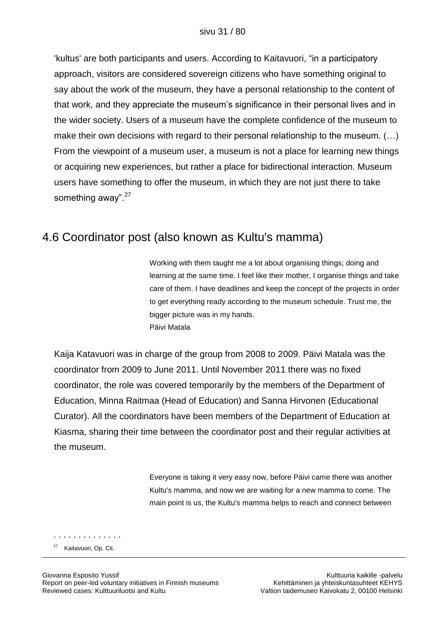'kultus' are both participants and users. According to Kaitavuori, "in a participatory approach, visitors are considered sovereign citizens who have something original to say about the work of the museum, they have a personal relationship to the content of that work, and they appreciate the museum"s significance in their personal lives and in the wider society. Users of a museum have the complete confidence of the museum to make their own decisions with regard to their personal relationship to the museum. (…) From the viewpoint of a museum user, a museum is not a place for learning new things or acquiring new experiences, but rather a place for bidirectional interaction. Museum users have something to offer the museum, in which they are not just there to take something away".<sup>27</sup>

### 4.6 Coordinator post (also known as Kultu's mamma)

Working with them taught me a lot about organising things; doing and learning at the same time. I feel like their mother, I organise things and take care of them. I have deadlines and keep the concept of the projects in order to get everything ready according to the museum schedule. Trust me, the bigger picture was in my hands. Päivi Matala

Kaija Katavuori was in charge of the group from 2008 to 2009. Päivi Matala was the coordinator from 2009 to June 2011. Until November 2011 there was no fixed coordinator, the role was covered temporarily by the members of the Department of Education, Minna Raitmaa (Head of Education) and Sanna Hirvonen (Educational Curator). All the coordinators have been members of the Department of Education at Kiasma, sharing their time between the coordinator post and their regular activities at the museum.

> Everyone is taking it very easy now, before Päivi came there was another Kultu's mamma, and now we are waiting for a new mamma to come. The main point is us, the Kultu's mamma helps to reach and connect between

. . . . . . . . . . . . . . <sup>27</sup> Kaitavuori, Op. Cit.

Giovanna Esposito Yussif Kulttuuria kaikille -palvelu Report on peer-led voluntary initiatives in Finnish museums Kehittäminen ja yhteiskuntasuhteet KEHYS Reviewed cases: Kulttuuriluotsi and Kultu Valtion taidemuseo Kaivokatu 2, 00100 Helsinki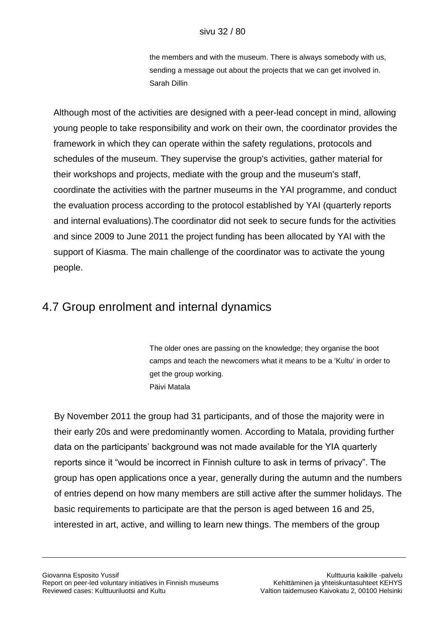the members and with the museum. There is always somebody with us, sending a message out about the projects that we can get involved in. Sarah Dillin

Although most of the activities are designed with a peer-lead concept in mind, allowing young people to take responsibility and work on their own, the coordinator provides the framework in which they can operate within the safety regulations, protocols and schedules of the museum. They supervise the group's activities, gather material for their workshops and projects, mediate with the group and the museum's staff, coordinate the activities with the partner museums in the YAI programme, and conduct the evaluation process according to the protocol established by YAI (quarterly reports and internal evaluations).The coordinator did not seek to secure funds for the activities and since 2009 to June 2011 the project funding has been allocated by YAI with the support of Kiasma. The main challenge of the coordinator was to activate the young people.

### 4.7 Group enrolment and internal dynamics

The older ones are passing on the knowledge; they organise the boot camps and teach the newcomers what it means to be a 'Kultu' in order to get the group working. Päivi Matala

By November 2011 the group had 31 participants, and of those the majority were in their early 20s and were predominantly women. According to Matala, providing further data on the participants" background was not made available for the YIA quarterly reports since it "would be incorrect in Finnish culture to ask in terms of privacy". The group has open applications once a year, generally during the autumn and the numbers of entries depend on how many members are still active after the summer holidays. The basic requirements to participate are that the person is aged between 16 and 25, interested in art, active, and willing to learn new things. The members of the group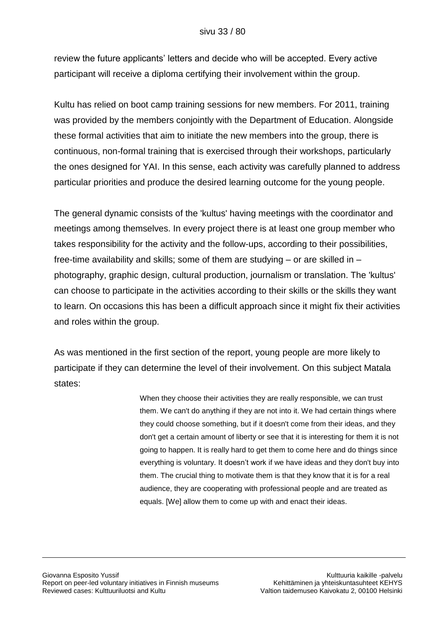review the future applicants" letters and decide who will be accepted. Every active participant will receive a diploma certifying their involvement within the group.

Kultu has relied on boot camp training sessions for new members. For 2011, training was provided by the members conjointly with the Department of Education. Alongside these formal activities that aim to initiate the new members into the group, there is continuous, non-formal training that is exercised through their workshops, particularly the ones designed for YAI. In this sense, each activity was carefully planned to address particular priorities and produce the desired learning outcome for the young people.

The general dynamic consists of the 'kultus' having meetings with the coordinator and meetings among themselves. In every project there is at least one group member who takes responsibility for the activity and the follow-ups, according to their possibilities, free-time availability and skills; some of them are studying – or are skilled in – photography, graphic design, cultural production, journalism or translation. The 'kultus' can choose to participate in the activities according to their skills or the skills they want to learn. On occasions this has been a difficult approach since it might fix their activities and roles within the group.

As was mentioned in the first section of the report, young people are more likely to participate if they can determine the level of their involvement. On this subject Matala states:

> When they choose their activities they are really responsible, we can trust them. We can't do anything if they are not into it. We had certain things where they could choose something, but if it doesn't come from their ideas, and they don't get a certain amount of liberty or see that it is interesting for them it is not going to happen. It is really hard to get them to come here and do things since everything is voluntary. It doesn"t work if we have ideas and they don't buy into them. The crucial thing to motivate them is that they know that it is for a real audience, they are cooperating with professional people and are treated as equals. [We] allow them to come up with and enact their ideas.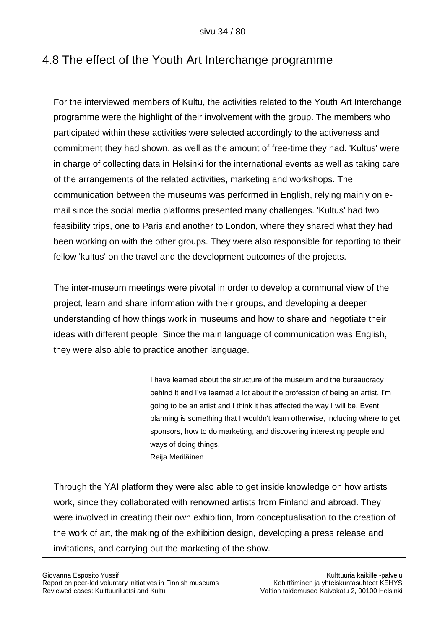## 4.8 The effect of the Youth Art Interchange programme

For the interviewed members of Kultu, the activities related to the Youth Art Interchange programme were the highlight of their involvement with the group. The members who participated within these activities were selected accordingly to the activeness and commitment they had shown, as well as the amount of free-time they had. 'Kultus' were in charge of collecting data in Helsinki for the international events as well as taking care of the arrangements of the related activities, marketing and workshops. The communication between the museums was performed in English, relying mainly on email since the social media platforms presented many challenges. 'Kultus' had two feasibility trips, one to Paris and another to London, where they shared what they had been working on with the other groups. They were also responsible for reporting to their fellow 'kultus' on the travel and the development outcomes of the projects.

The inter-museum meetings were pivotal in order to develop a communal view of the project, learn and share information with their groups, and developing a deeper understanding of how things work in museums and how to share and negotiate their ideas with different people. Since the main language of communication was English, they were also able to practice another language.

> I have learned about the structure of the museum and the bureaucracy behind it and I"ve learned a lot about the profession of being an artist. I"m going to be an artist and I think it has affected the way I will be. Event planning is something that I wouldn't learn otherwise, including where to get sponsors, how to do marketing, and discovering interesting people and ways of doing things. Reija Meriläinen

Through the YAI platform they were also able to get inside knowledge on how artists work, since they collaborated with renowned artists from Finland and abroad. They were involved in creating their own exhibition, from conceptualisation to the creation of the work of art, the making of the exhibition design, developing a press release and invitations, and carrying out the marketing of the show.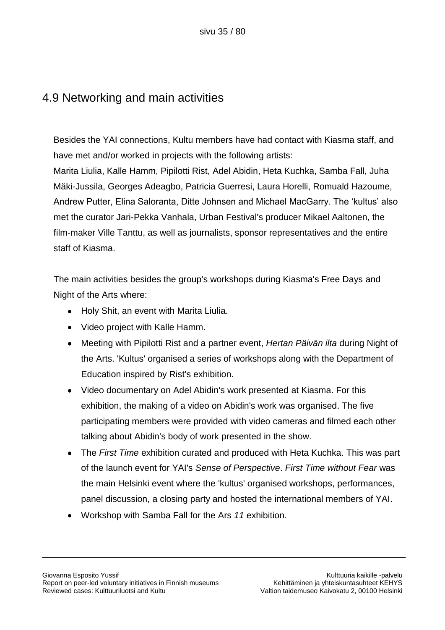### 4.9 Networking and main activities

Besides the YAI connections, Kultu members have had contact with Kiasma staff, and have met and/or worked in projects with the following artists: Marita Liulia, Kalle Hamm, Pipilotti Rist, Adel Abidin, Heta Kuchka, Samba Fall, Juha Mäki-Jussila, Georges Adeagbo, Patricia Guerresi, Laura Horelli, Romuald Hazoume, Andrew Putter, Elina Saloranta, Ditte Johnsen and Michael MacGarry. The "kultus" also met the curator Jari-Pekka Vanhala, Urban Festival's producer Mikael Aaltonen, the film-maker Ville Tanttu, as well as journalists, sponsor representatives and the entire staff of Kiasma.

The main activities besides the group's workshops during Kiasma's Free Days and Night of the Arts where:

- Holy Shit, an event with Marita Liulia.
- Video project with Kalle Hamm.
- Meeting with Pipilotti Rist and a partner event, *Hertan Päivän ilta* during Night of the Arts. 'Kultus' organised a series of workshops along with the Department of Education inspired by Rist's exhibition.
- Video documentary on Adel Abidin's work presented at Kiasma. For this exhibition, the making of a video on Abidin's work was organised. The five participating members were provided with video cameras and filmed each other talking about Abidin's body of work presented in the show.
- The *First Time* exhibition curated and produced with Heta Kuchka. This was part  $\bullet$ of the launch event for YAI's *Sense of Perspective*. *First Time without Fear* was the main Helsinki event where the 'kultus' organised workshops, performances, panel discussion, a closing party and hosted the international members of YAI.
- Workshop with Samba Fall for the Ars *11* exhibition.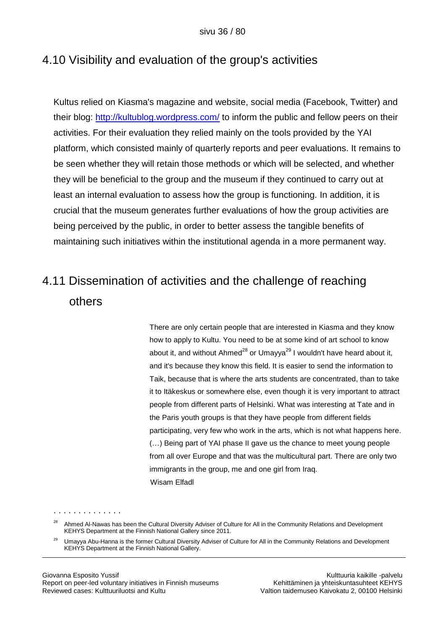### 4.10 Visibility and evaluation of the group's activities

Kultus relied on Kiasma's magazine and website, social media (Facebook, Twitter) and their blog:<http://kultublog.wordpress.com/> to inform the public and fellow peers on their activities. For their evaluation they relied mainly on the tools provided by the YAI platform, which consisted mainly of quarterly reports and peer evaluations. It remains to be seen whether they will retain those methods or which will be selected, and whether they will be beneficial to the group and the museum if they continued to carry out at least an internal evaluation to assess how the group is functioning. In addition, it is crucial that the museum generates further evaluations of how the group activities are being perceived by the public, in order to better assess the tangible benefits of maintaining such initiatives within the institutional agenda in a more permanent way.

# 4.11 Dissemination of activities and the challenge of reaching others

There are only certain people that are interested in Kiasma and they know how to apply to Kultu. You need to be at some kind of art school to know about it, and without Ahmed<sup>28</sup> or Umayya<sup>29</sup> I wouldn't have heard about it, and it's because they know this field. It is easier to send the information to Taik, because that is where the arts students are concentrated, than to take it to Itäkeskus or somewhere else, even though it is very important to attract people from different parts of Helsinki. What was interesting at Tate and in the Paris youth groups is that they have people from different fields participating, very few who work in the arts, which is not what happens here. (…) Being part of YAI phase II gave us the chance to meet young people from all over Europe and that was the multicultural part. There are only two immigrants in the group, me and one girl from Iraq. Wisam Elfadl

<sup>&</sup>lt;sup>28</sup> Ahmed Al-Nawas has been the Cultural Diversity Adviser of Culture for All in the Community Relations and Development KEHYS Department at the Finnish National Gallery since 2011.

<sup>&</sup>lt;sup>29</sup> Umavya Abu-Hanna is the former Cultural Diversity Adviser of Culture for All in the Community Relations and Development KEHYS Department at the Finnish National Gallery.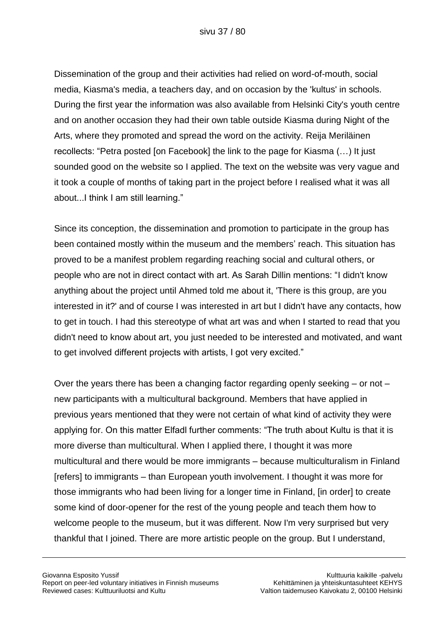Dissemination of the group and their activities had relied on word-of-mouth, social media, Kiasma's media, a teachers day, and on occasion by the 'kultus' in schools. During the first year the information was also available from Helsinki City's youth centre and on another occasion they had their own table outside Kiasma during Night of the Arts, where they promoted and spread the word on the activity. Reija Meriläinen recollects: "Petra posted [on Facebook] the link to the page for Kiasma (…) It just sounded good on the website so I applied. The text on the website was very vague and it took a couple of months of taking part in the project before I realised what it was all about...I think I am still learning."

Since its conception, the dissemination and promotion to participate in the group has been contained mostly within the museum and the members' reach. This situation has proved to be a manifest problem regarding reaching social and cultural others, or people who are not in direct contact with art. As Sarah Dillin mentions: "I didn't know anything about the project until Ahmed told me about it, 'There is this group, are you interested in it?' and of course I was interested in art but I didn't have any contacts, how to get in touch. I had this stereotype of what art was and when I started to read that you didn't need to know about art, you just needed to be interested and motivated, and want to get involved different projects with artists, I got very excited."

Over the years there has been a changing factor regarding openly seeking – or not – new participants with a multicultural background. Members that have applied in previous years mentioned that they were not certain of what kind of activity they were applying for. On this matter Elfadl further comments: "The truth about Kultu is that it is more diverse than multicultural. When I applied there, I thought it was more multicultural and there would be more immigrants – because multiculturalism in Finland [refers] to immigrants – than European youth involvement. I thought it was more for those immigrants who had been living for a longer time in Finland, [in order] to create some kind of door-opener for the rest of the young people and teach them how to welcome people to the museum, but it was different. Now I'm very surprised but very thankful that I joined. There are more artistic people on the group. But I understand,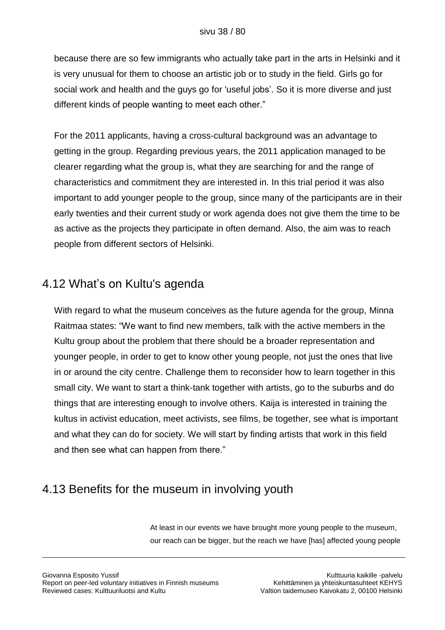because there are so few immigrants who actually take part in the arts in Helsinki and it is very unusual for them to choose an artistic job or to study in the field. Girls go for social work and health and the guys go for 'useful jobs'. So it is more diverse and just different kinds of people wanting to meet each other."

For the 2011 applicants, having a cross-cultural background was an advantage to getting in the group. Regarding previous years, the 2011 application managed to be clearer regarding what the group is, what they are searching for and the range of characteristics and commitment they are interested in. In this trial period it was also important to add younger people to the group, since many of the participants are in their early twenties and their current study or work agenda does not give them the time to be as active as the projects they participate in often demand. Also, the aim was to reach people from different sectors of Helsinki.

### 4.12 What"s on Kultu's agenda

With regard to what the museum conceives as the future agenda for the group, Minna Raitmaa states: "We want to find new members, talk with the active members in the Kultu group about the problem that there should be a broader representation and younger people, in order to get to know other young people, not just the ones that live in or around the city centre. Challenge them to reconsider how to learn together in this small city. We want to start a think-tank together with artists, go to the suburbs and do things that are interesting enough to involve others. Kaija is interested in training the kultus in activist education, meet activists, see films, be together, see what is important and what they can do for society. We will start by finding artists that work in this field and then see what can happen from there."

### 4.13 Benefits for the museum in involving youth

At least in our events we have brought more young people to the museum, our reach can be bigger, but the reach we have [has] affected young people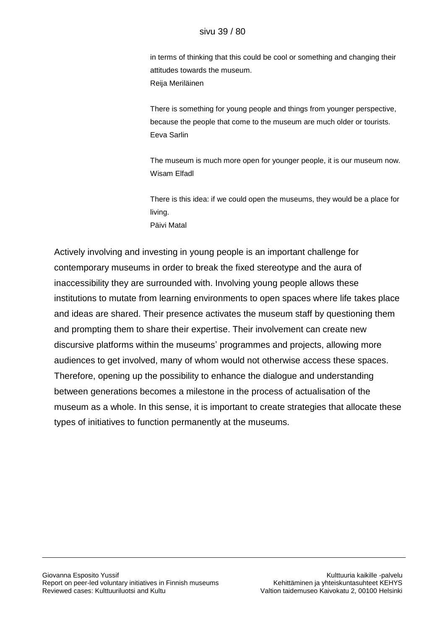in terms of thinking that this could be cool or something and changing their attitudes towards the museum. Reija Meriläinen

There is something for young people and things from younger perspective, because the people that come to the museum are much older or tourists. Eeva Sarlin

The museum is much more open for younger people, it is our museum now. Wisam Elfadl

There is this idea: if we could open the museums, they would be a place for living. Päivi Matal

Actively involving and investing in young people is an important challenge for contemporary museums in order to break the fixed stereotype and the aura of inaccessibility they are surrounded with. Involving young people allows these institutions to mutate from learning environments to open spaces where life takes place and ideas are shared. Their presence activates the museum staff by questioning them and prompting them to share their expertise. Their involvement can create new discursive platforms within the museums" programmes and projects, allowing more audiences to get involved, many of whom would not otherwise access these spaces. Therefore, opening up the possibility to enhance the dialogue and understanding between generations becomes a milestone in the process of actualisation of the museum as a whole. In this sense, it is important to create strategies that allocate these types of initiatives to function permanently at the museums.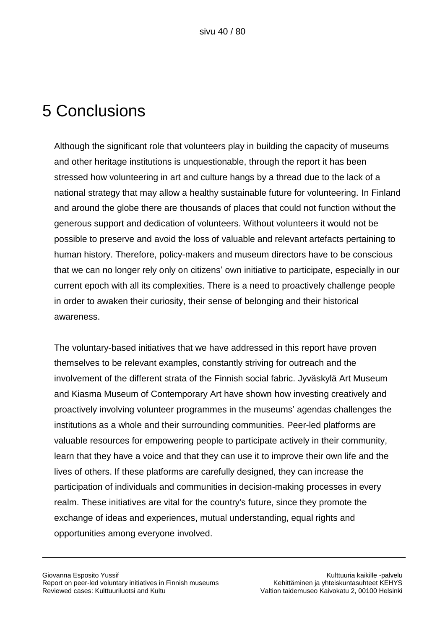## 5 Conclusions

Although the significant role that volunteers play in building the capacity of museums and other heritage institutions is unquestionable, through the report it has been stressed how volunteering in art and culture hangs by a thread due to the lack of a national strategy that may allow a healthy sustainable future for volunteering. In Finland and around the globe there are thousands of places that could not function without the generous support and dedication of volunteers. Without volunteers it would not be possible to preserve and avoid the loss of valuable and relevant artefacts pertaining to human history. Therefore, policy-makers and museum directors have to be conscious that we can no longer rely only on citizens" own initiative to participate, especially in our current epoch with all its complexities. There is a need to proactively challenge people in order to awaken their curiosity, their sense of belonging and their historical awareness.

The voluntary-based initiatives that we have addressed in this report have proven themselves to be relevant examples, constantly striving for outreach and the involvement of the different strata of the Finnish social fabric. Jyväskylä Art Museum and Kiasma Museum of Contemporary Art have shown how investing creatively and proactively involving volunteer programmes in the museums" agendas challenges the institutions as a whole and their surrounding communities. Peer-led platforms are valuable resources for empowering people to participate actively in their community, learn that they have a voice and that they can use it to improve their own life and the lives of others. If these platforms are carefully designed, they can increase the participation of individuals and communities in decision-making processes in every realm. These initiatives are vital for the country's future, since they promote the exchange of ideas and experiences, mutual understanding, equal rights and opportunities among everyone involved.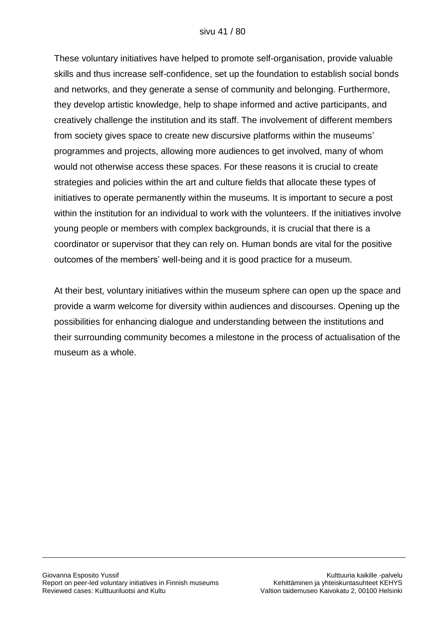These voluntary initiatives have helped to promote self-organisation, provide valuable skills and thus increase self-confidence, set up the foundation to establish social bonds and networks, and they generate a sense of community and belonging. Furthermore, they develop artistic knowledge, help to shape informed and active participants, and creatively challenge the institution and its staff. The involvement of different members from society gives space to create new discursive platforms within the museums" programmes and projects, allowing more audiences to get involved, many of whom would not otherwise access these spaces. For these reasons it is crucial to create strategies and policies within the art and culture fields that allocate these types of initiatives to operate permanently within the museums. It is important to secure a post within the institution for an individual to work with the volunteers. If the initiatives involve young people or members with complex backgrounds, it is crucial that there is a coordinator or supervisor that they can rely on. Human bonds are vital for the positive outcomes of the members' well-being and it is good practice for a museum.

At their best, voluntary initiatives within the museum sphere can open up the space and provide a warm welcome for diversity within audiences and discourses. Opening up the possibilities for enhancing dialogue and understanding between the institutions and their surrounding community becomes a milestone in the process of actualisation of the museum as a whole.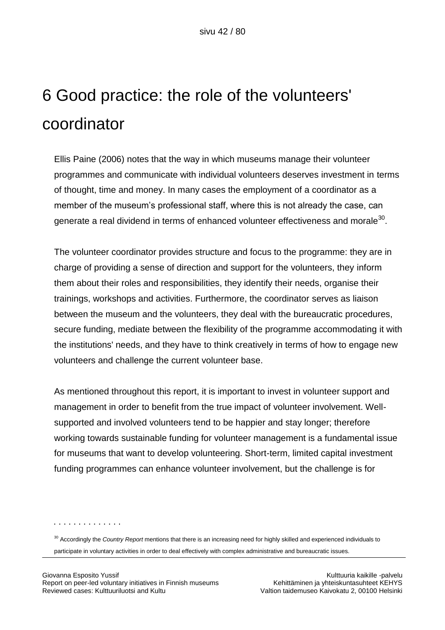# 6 Good practice: the role of the volunteers' coordinator

Ellis Paine (2006) notes that the way in which museums manage their volunteer programmes and communicate with individual volunteers deserves investment in terms of thought, time and money. In many cases the employment of a coordinator as a member of the museum"s professional staff, where this is not already the case, can generate a real dividend in terms of enhanced volunteer effectiveness and morale $^{\rm 30}$ .

The volunteer coordinator provides structure and focus to the programme: they are in charge of providing a sense of direction and support for the volunteers, they inform them about their roles and responsibilities, they identify their needs, organise their trainings, workshops and activities. Furthermore, the coordinator serves as liaison between the museum and the volunteers, they deal with the bureaucratic procedures, secure funding, mediate between the flexibility of the programme accommodating it with the institutions' needs, and they have to think creatively in terms of how to engage new volunteers and challenge the current volunteer base.

As mentioned throughout this report, it is important to invest in volunteer support and management in order to benefit from the true impact of volunteer involvement. Wellsupported and involved volunteers tend to be happier and stay longer; therefore working towards sustainable funding for volunteer management is a fundamental issue for museums that want to develop volunteering. Short-term, limited capital investment funding programmes can enhance volunteer involvement, but the challenge is for

. . . . . . . . . . . . . .

<sup>30</sup> Accordingly the *Country Report* mentions that there is an increasing need for highly skilled and experienced individuals to

participate in voluntary activities in order to deal effectively with complex administrative and bureaucratic issues.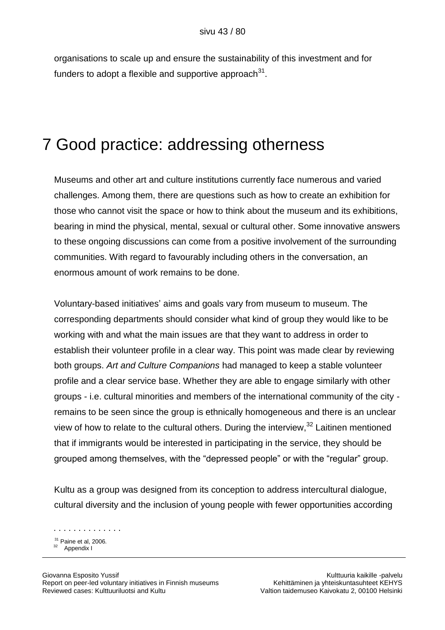organisations to scale up and ensure the sustainability of this investment and for funders to adopt a flexible and supportive approach $^{31}$ .

### 7 Good practice: addressing otherness

Museums and other art and culture institutions currently face numerous and varied challenges. Among them, there are questions such as how to create an exhibition for those who cannot visit the space or how to think about the museum and its exhibitions, bearing in mind the physical, mental, sexual or cultural other. Some innovative answers to these ongoing discussions can come from a positive involvement of the surrounding communities. With regard to favourably including others in the conversation, an enormous amount of work remains to be done.

Voluntary-based initiatives" aims and goals vary from museum to museum. The corresponding departments should consider what kind of group they would like to be working with and what the main issues are that they want to address in order to establish their volunteer profile in a clear way. This point was made clear by reviewing both groups. *Art and Culture Companions* had managed to keep a stable volunteer profile and a clear service base. Whether they are able to engage similarly with other groups - i.e. cultural minorities and members of the international community of the city remains to be seen since the group is ethnically homogeneous and there is an unclear view of how to relate to the cultural others. During the interview,<sup>32</sup> Laitinen mentioned that if immigrants would be interested in participating in the service, they should be grouped among themselves, with the "depressed people" or with the "regular" group.

Kultu as a group was designed from its conception to address intercultural dialogue, cultural diversity and the inclusion of young people with fewer opportunities according

 $31$  Paine et al, 2006. Appendix I

. . . . . . . . . . . . . .

Giovanna Esposito Yussif Kulttuuria kaikille -palvelu Report on peer-led voluntary initiatives in Finnish museums Kehittäminen ja yhteiskuntasuhteet KEHYS Reviewed cases: Kulttuuriluotsi and Kultu Valtion taidemuseo Kaivokatu 2, 00100 Helsinki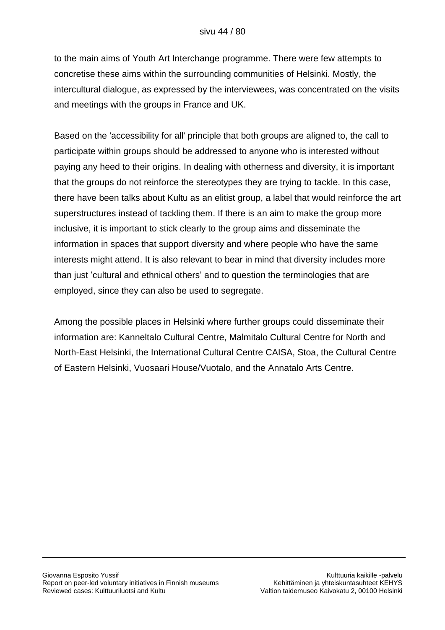to the main aims of Youth Art Interchange programme. There were few attempts to concretise these aims within the surrounding communities of Helsinki. Mostly, the intercultural dialogue, as expressed by the interviewees, was concentrated on the visits and meetings with the groups in France and UK.

Based on the 'accessibility for all' principle that both groups are aligned to, the call to participate within groups should be addressed to anyone who is interested without paying any heed to their origins. In dealing with otherness and diversity, it is important that the groups do not reinforce the stereotypes they are trying to tackle. In this case, there have been talks about Kultu as an elitist group, a label that would reinforce the art superstructures instead of tackling them. If there is an aim to make the group more inclusive, it is important to stick clearly to the group aims and disseminate the information in spaces that support diversity and where people who have the same interests might attend. It is also relevant to bear in mind that diversity includes more than just "cultural and ethnical others" and to question the terminologies that are employed, since they can also be used to segregate.

Among the possible places in Helsinki where further groups could disseminate their information are: Kanneltalo Cultural Centre, Malmitalo Cultural Centre for North and North-East Helsinki, the International Cultural Centre CAISA, Stoa, the Cultural Centre of Eastern Helsinki, Vuosaari House/Vuotalo, and the Annatalo Arts Centre.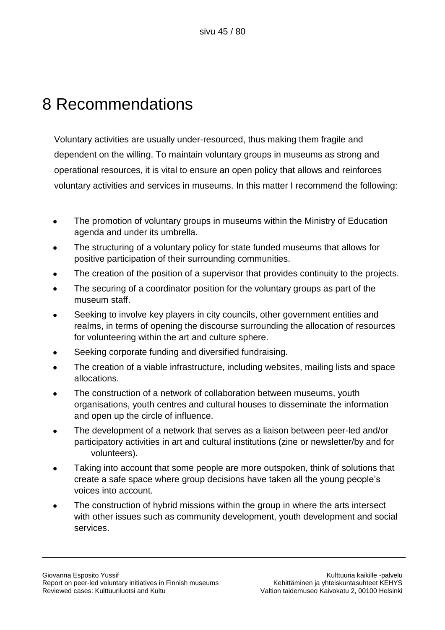# 8 Recommendations

Voluntary activities are usually under-resourced, thus making them fragile and dependent on the willing. To maintain voluntary groups in museums as strong and operational resources, it is vital to ensure an open policy that allows and reinforces voluntary activities and services in museums. In this matter I recommend the following:

- The promotion of voluntary groups in museums within the Ministry of Education agenda and under its umbrella.
- The structuring of a voluntary policy for state funded museums that allows for positive participation of their surrounding communities.
- The creation of the position of a supervisor that provides continuity to the projects.
- The securing of a coordinator position for the voluntary groups as part of the museum staff.
- Seeking to involve key players in city councils, other government entities and realms, in terms of opening the discourse surrounding the allocation of resources for volunteering within the art and culture sphere.
- Seeking corporate funding and diversified fundraising.
- The creation of a viable infrastructure, including websites, mailing lists and space allocations.
- The construction of a network of collaboration between museums, youth organisations, youth centres and cultural houses to disseminate the information and open up the circle of influence.
- The development of a network that serves as a liaison between peer-led and/or participatory activities in art and cultural institutions (zine or newsletter/by and for volunteers).
- Taking into account that some people are more outspoken, think of solutions that create a safe space where group decisions have taken all the young people"s voices into account.
- The construction of hybrid missions within the group in where the arts intersect with other issues such as community development, youth development and social services.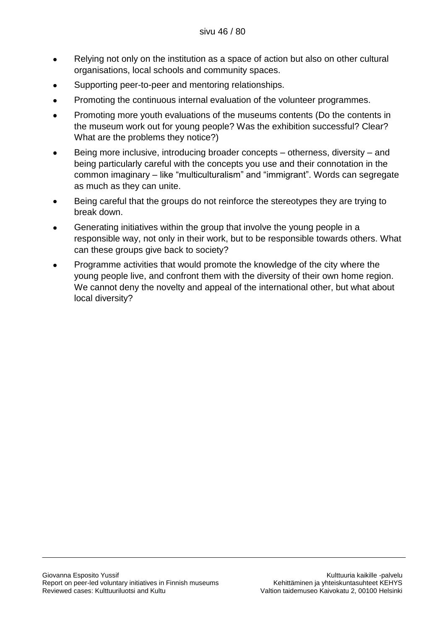- Relying not only on the institution as a space of action but also on other cultural organisations, local schools and community spaces.
- Supporting peer-to-peer and mentoring relationships.
- Promoting the continuous internal evaluation of the volunteer programmes.  $\bullet$
- Promoting more youth evaluations of the museums contents (Do the contents in the museum work out for young people? Was the exhibition successful? Clear? What are the problems they notice?)
- Being more inclusive, introducing broader concepts otherness, diversity and being particularly careful with the concepts you use and their connotation in the common imaginary – like "multiculturalism" and "immigrant". Words can segregate as much as they can unite.
- Being careful that the groups do not reinforce the stereotypes they are trying to  $\bullet$ break down.
- Generating initiatives within the group that involve the young people in a responsible way, not only in their work, but to be responsible towards others. What can these groups give back to society?
- Programme activities that would promote the knowledge of the city where the young people live, and confront them with the diversity of their own home region. We cannot deny the novelty and appeal of the international other, but what about local diversity?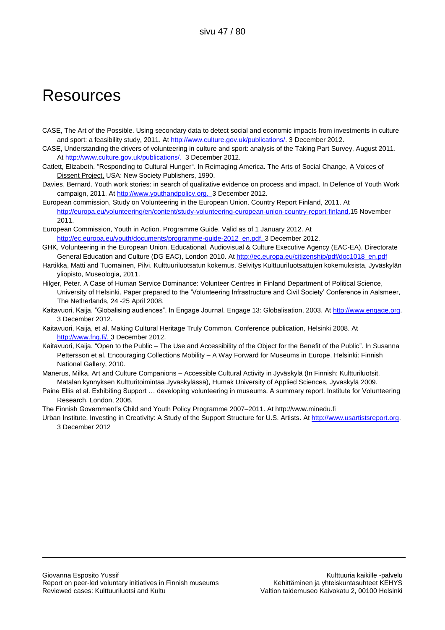### **Resources**

- CASE, The Art of the Possible. Using secondary data to detect social and economic impacts from investments in culture and sport: a feasibility study, 2011. At [http://www.culture.gov.uk/publications/.](http://www.culture.gov.uk/publications/) 3 December 2012.
- CASE, Understanding the drivers of volunteering in culture and sport: analysis of the Taking Part Survey, August 2011. At [http://www.culture.gov.uk/publications/.](http://www.culture.gov.uk/publications/) 3 December 2012.
- Catlett, Elizabeth. "Responding to Cultural Hunger". In Reimaging America. The Arts of Social Change, A Voices of Dissent Project, USA: New Society Publishers, 1990.
- Davies, Bernard. Youth work stories: in search of qualitative evidence on process and impact. In Defence of Youth Work campaign, 2011. A[t http://www.youthandpolicy.org.](http://www.youthandpolicy.org/) 3 December 2012.
- European commission, Study on Volunteering in the European Union. Country Report Finland, 2011. At [http://europa.eu/volunteering/en/content/study-volunteering-european-union-country-report-finland.1](http://europa.eu/volunteering/en/content/study-volunteering-european-union-country-report-finland)5 November 2011.
- European Commission, Youth in Action. Programme Guide. Valid as of 1 January 2012. At [http://ec.europa.eu/youth/documents/programme-guide-2012\\_en.pdf.](http://ec.europa.eu/youth/documents/programme-guide-2012_en.pdf) 3 December 2012.
- GHK, Volunteering in the European Union. Educational, Audiovisual & Culture Executive Agency (EAC-EA). Directorate General Education and Culture (DG EAC), London 2010. A[t http://ec.europa.eu/citizenship/pdf/doc1018\\_en.pdf](http://ec.europa.eu/citizenship/pdf/doc1018_en.pdf)
- Hartikka, Matti and Tuomainen, Pilvi. Kulttuuriluotsatun kokemus. Selvitys Kulttuuriluotsattujen kokemuksista, Jyväskylän yliopisto, Museologia, 2011.
- Hilger, Peter. A Case of Human Service Dominance: Volunteer Centres in Finland Department of Political Science, University of Helsinki. Paper prepared to the "Volunteering Infrastructure and Civil Society" Conference in Aalsmeer, The Netherlands, 24 -25 April 2008.
- Kaitavuori, Kaija. "Globalising audiences". In Engage Journal. Engage 13: Globalisation, 2003. A[t http://www.engage.org.](http://www.engage.org/) 3 December 2012.
- Kaitavuori, Kaija, et al. Making Cultural Heritage Truly Common. Conference publication, Helsinki 2008. At [http://www.fng.fi/.](http://www.fng.fi/) 3 December 2012.
- Kaitavuori, Kaija. "Open to the Public The Use and Accessibility of the Object for the Benefit of the Public". In Susanna Pettersson et al. Encouraging Collections Mobility – A Way Forward for Museums in Europe, Helsinki: Finnish National Gallery, 2010.
- Manerus, Milka. Art and Culture Companions Accessible Cultural Activity in Jyväskylä (In Finnish: Kultturiluotsit. Matalan kynnyksen Kultturitoimintaa Jyväskylässä), Humak University of Applied Sciences, Jyväskylä 2009.
- Paine Ellis et al. Exhibiting Support … developing volunteering in museums. A summary report. Institute for Volunteering Research, London, 2006.

The Finnish Government"s Child and Youth Policy Programme 2007–2011. At http://www.minedu.fi

Urban Institute, Investing in Creativity: A Study of the Support Structure for U.S. Artists. At [http://www.usartistsreport.org.](http://www.usartistsreport.org/) 3 December 2012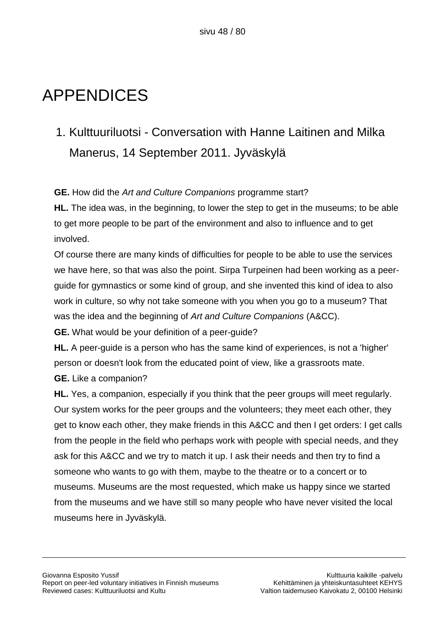# APPENDICES

1. Kulttuuriluotsi - Conversation with Hanne Laitinen and Milka Manerus, 14 September 2011. Jyväskylä

**GE.** How did the *Art and Culture Companions* programme start?

**HL.** The idea was, in the beginning, to lower the step to get in the museums; to be able to get more people to be part of the environment and also to influence and to get involved.

Of course there are many kinds of difficulties for people to be able to use the services we have here, so that was also the point. Sirpa Turpeinen had been working as a peerguide for gymnastics or some kind of group, and she invented this kind of idea to also work in culture, so why not take someone with you when you go to a museum? That was the idea and the beginning of *Art and Culture Companions* (A&CC).

**GE.** What would be your definition of a peer-guide?

**HL.** A peer-guide is a person who has the same kind of experiences, is not a 'higher' person or doesn't look from the educated point of view, like a grassroots mate. **GE.** Like a companion?

**HL.** Yes, a companion, especially if you think that the peer groups will meet regularly. Our system works for the peer groups and the volunteers; they meet each other, they get to know each other, they make friends in this A&CC and then I get orders: I get calls from the people in the field who perhaps work with people with special needs, and they ask for this A&CC and we try to match it up. I ask their needs and then try to find a someone who wants to go with them, maybe to the theatre or to a concert or to museums. Museums are the most requested, which make us happy since we started from the museums and we have still so many people who have never visited the local museums here in Jyväskylä.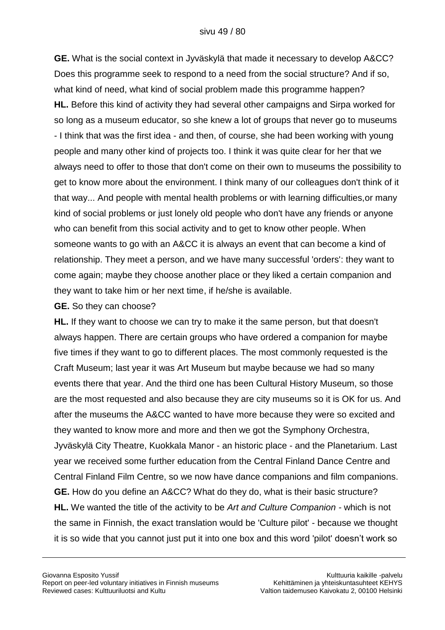**GE.** What is the social context in Jyväskylä that made it necessary to develop A&CC? Does this programme seek to respond to a need from the social structure? And if so, what kind of need, what kind of social problem made this programme happen? **HL.** Before this kind of activity they had several other campaigns and Sirpa worked for so long as a museum educator, so she knew a lot of groups that never go to museums - I think that was the first idea - and then, of course, she had been working with young people and many other kind of projects too. I think it was quite clear for her that we always need to offer to those that don't come on their own to museums the possibility to get to know more about the environment. I think many of our colleagues don't think of it that way... And people with mental health problems or with learning difficulties,or many kind of social problems or just lonely old people who don't have any friends or anyone who can benefit from this social activity and to get to know other people. When someone wants to go with an A&CC it is always an event that can become a kind of relationship. They meet a person, and we have many successful 'orders': they want to come again; maybe they choose another place or they liked a certain companion and they want to take him or her next time, if he/she is available.

#### **GE.** So they can choose?

**HL.** If they want to choose we can try to make it the same person, but that doesn't always happen. There are certain groups who have ordered a companion for maybe five times if they want to go to different places. The most commonly requested is the Craft Museum; last year it was Art Museum but maybe because we had so many events there that year. And the third one has been Cultural History Museum, so those are the most requested and also because they are city museums so it is OK for us. And after the museums the A&CC wanted to have more because they were so excited and they wanted to know more and more and then we got the Symphony Orchestra, Jyväskylä City Theatre, Kuokkala Manor - an historic place - and the Planetarium. Last year we received some further education from the Central Finland Dance Centre and Central Finland Film Centre, so we now have dance companions and film companions. **GE.** How do you define an A&CC? What do they do, what is their basic structure? **HL.** We wanted the title of the activity to be *Art and Culture Companion -* which is not the same in Finnish, the exact translation would be 'Culture pilot' - because we thought it is so wide that you cannot just put it into one box and this word 'pilot' doesn"t work so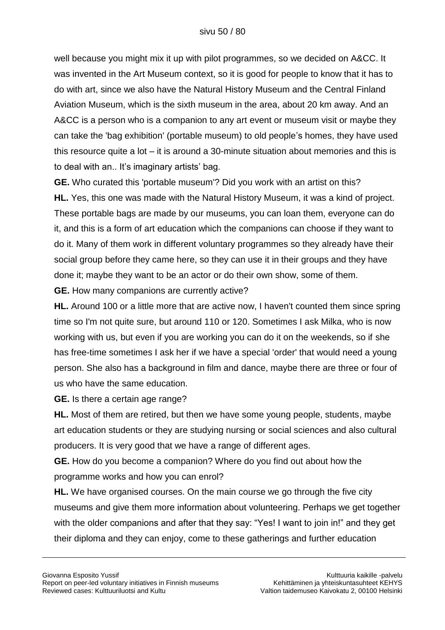well because you might mix it up with pilot programmes, so we decided on A&CC. It was invented in the Art Museum context, so it is good for people to know that it has to do with art, since we also have the Natural History Museum and the Central Finland Aviation Museum, which is the sixth museum in the area, about 20 km away. And an A&CC is a person who is a companion to any art event or museum visit or maybe they can take the 'bag exhibition' (portable museum) to old people"s homes, they have used this resource quite a lot – it is around a 30-minute situation about memories and this is to deal with an.. It's imaginary artists' bag.

**GE.** Who curated this 'portable museum'? Did you work with an artist on this? **HL.** Yes, this one was made with the Natural History Museum, it was a kind of project. These portable bags are made by our museums, you can loan them, everyone can do it, and this is a form of art education which the companions can choose if they want to do it. Many of them work in different voluntary programmes so they already have their social group before they came here, so they can use it in their groups and they have done it; maybe they want to be an actor or do their own show, some of them.

**GE.** How many companions are currently active?

**HL.** Around 100 or a little more that are active now, I haven't counted them since spring time so I'm not quite sure, but around 110 or 120. Sometimes I ask Milka, who is now working with us, but even if you are working you can do it on the weekends, so if she has free-time sometimes I ask her if we have a special 'order' that would need a young person. She also has a background in film and dance, maybe there are three or four of us who have the same education.

**GE.** Is there a certain age range?

**HL.** Most of them are retired, but then we have some young people, students, maybe art education students or they are studying nursing or social sciences and also cultural producers. It is very good that we have a range of different ages.

**GE.** How do you become a companion? Where do you find out about how the programme works and how you can enrol?

**HL.** We have organised courses. On the main course we go through the five city museums and give them more information about volunteering. Perhaps we get together with the older companions and after that they say: "Yes! I want to join in!" and they get their diploma and they can enjoy, come to these gatherings and further education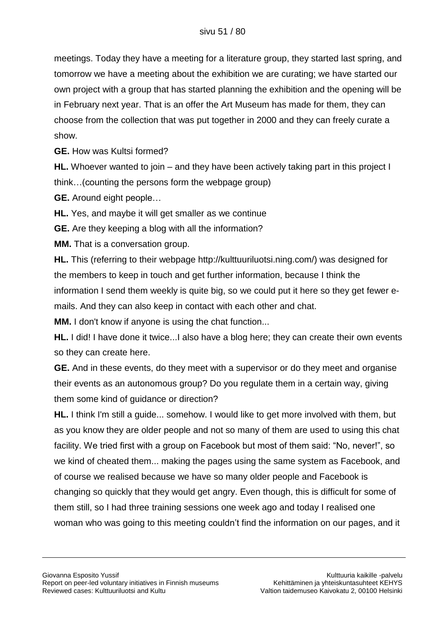meetings. Today they have a meeting for a literature group, they started last spring, and tomorrow we have a meeting about the exhibition we are curating; we have started our own project with a group that has started planning the exhibition and the opening will be in February next year. That is an offer the Art Museum has made for them, they can choose from the collection that was put together in 2000 and they can freely curate a show.

**GE.** How was Kultsi formed?

**HL.** Whoever wanted to join – and they have been actively taking part in this project I think…(counting the persons form the webpage group)

**GE.** Around eight people…

**HL.** Yes, and maybe it will get smaller as we continue

**GE.** Are they keeping a blog with all the information?

**MM.** That is a conversation group.

**HL.** This (referring to their webpage http://kulttuuriluotsi.ning.com/) was designed for the members to keep in touch and get further information, because I think the information I send them weekly is quite big, so we could put it here so they get fewer emails. And they can also keep in contact with each other and chat.

**MM.** I don't know if anyone is using the chat function...

**HL.** I did! I have done it twice...I also have a blog here; they can create their own events so they can create here.

**GE.** And in these events, do they meet with a supervisor or do they meet and organise their events as an autonomous group? Do you regulate them in a certain way, giving them some kind of guidance or direction?

**HL.** I think I'm still a guide... somehow. I would like to get more involved with them, but as you know they are older people and not so many of them are used to using this chat facility. We tried first with a group on Facebook but most of them said: "No, never!", so we kind of cheated them... making the pages using the same system as Facebook, and of course we realised because we have so many older people and Facebook is changing so quickly that they would get angry. Even though, this is difficult for some of them still, so I had three training sessions one week ago and today I realised one woman who was going to this meeting couldn"t find the information on our pages, and it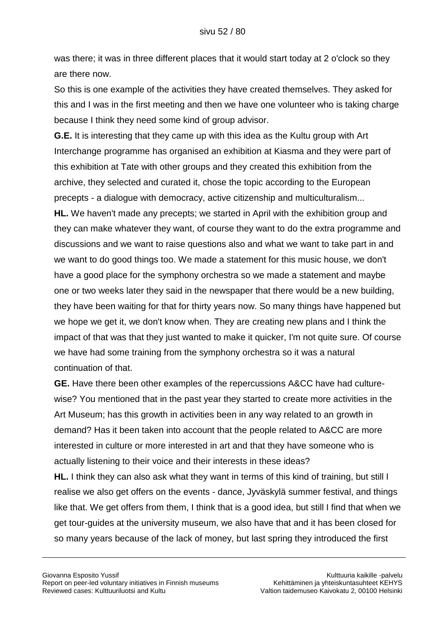was there; it was in three different places that it would start today at 2 o'clock so they are there now.

So this is one example of the activities they have created themselves. They asked for this and I was in the first meeting and then we have one volunteer who is taking charge because I think they need some kind of group advisor.

**G.E.** It is interesting that they came up with this idea as the Kultu group with Art Interchange programme has organised an exhibition at Kiasma and they were part of this exhibition at Tate with other groups and they created this exhibition from the archive, they selected and curated it, chose the topic according to the European precepts - a dialogue with democracy, active citizenship and multiculturalism...

**HL.** We haven't made any precepts; we started in April with the exhibition group and they can make whatever they want, of course they want to do the extra programme and discussions and we want to raise questions also and what we want to take part in and we want to do good things too. We made a statement for this music house, we don't have a good place for the symphony orchestra so we made a statement and maybe one or two weeks later they said in the newspaper that there would be a new building, they have been waiting for that for thirty years now. So many things have happened but we hope we get it, we don't know when. They are creating new plans and I think the impact of that was that they just wanted to make it quicker, I'm not quite sure. Of course we have had some training from the symphony orchestra so it was a natural continuation of that.

**GE.** Have there been other examples of the repercussions A&CC have had culturewise? You mentioned that in the past year they started to create more activities in the Art Museum; has this growth in activities been in any way related to an growth in demand? Has it been taken into account that the people related to A&CC are more interested in culture or more interested in art and that they have someone who is actually listening to their voice and their interests in these ideas?

**HL.** I think they can also ask what they want in terms of this kind of training, but still I realise we also get offers on the events - dance, Jyväskylä summer festival, and things like that. We get offers from them, I think that is a good idea, but still I find that when we get tour-guides at the university museum, we also have that and it has been closed for so many years because of the lack of money, but last spring they introduced the first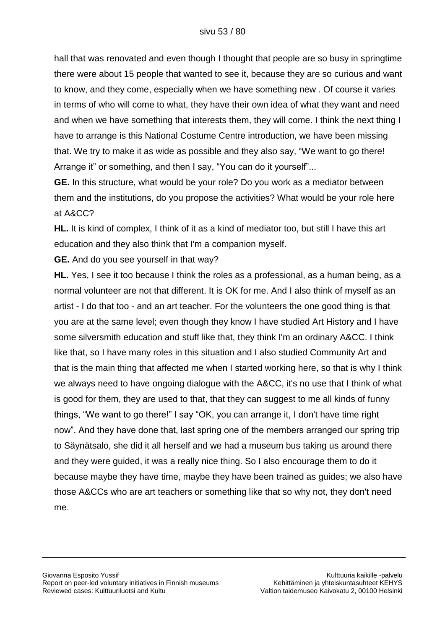hall that was renovated and even though I thought that people are so busy in springtime there were about 15 people that wanted to see it, because they are so curious and want to know, and they come, especially when we have something new . Of course it varies in terms of who will come to what, they have their own idea of what they want and need and when we have something that interests them, they will come. I think the next thing I have to arrange is this National Costume Centre introduction, we have been missing that. We try to make it as wide as possible and they also say, "We want to go there! Arrange it" or something, and then I say, "You can do it yourself"...

**GE.** In this structure, what would be your role? Do you work as a mediator between them and the institutions, do you propose the activities? What would be your role here at A&CC?

**HL.** It is kind of complex, I think of it as a kind of mediator too, but still I have this art education and they also think that I'm a companion myself.

**GE.** And do you see yourself in that way?

**HL.** Yes, I see it too because I think the roles as a professional, as a human being, as a normal volunteer are not that different. It is OK for me. And I also think of myself as an artist - I do that too - and an art teacher. For the volunteers the one good thing is that you are at the same level; even though they know I have studied Art History and I have some silversmith education and stuff like that, they think I'm an ordinary A&CC. I think like that, so I have many roles in this situation and I also studied Community Art and that is the main thing that affected me when I started working here, so that is why I think we always need to have ongoing dialogue with the A&CC, it's no use that I think of what is good for them, they are used to that, that they can suggest to me all kinds of funny things, "We want to go there!" I say "OK, you can arrange it, I don't have time right now". And they have done that, last spring one of the members arranged our spring trip to Säynätsalo, she did it all herself and we had a museum bus taking us around there and they were guided, it was a really nice thing. So I also encourage them to do it because maybe they have time, maybe they have been trained as guides; we also have those A&CCs who are art teachers or something like that so why not, they don't need me.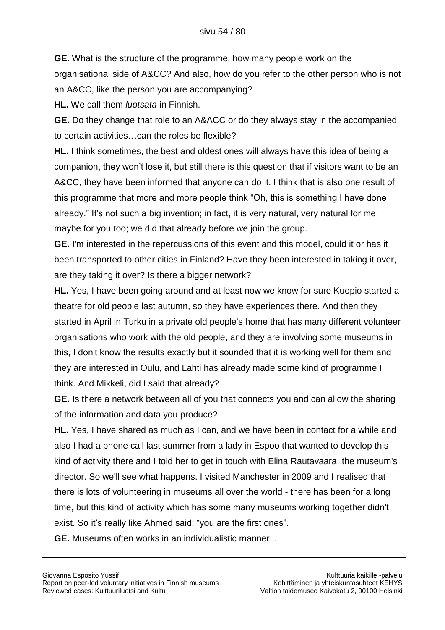**GE.** What is the structure of the programme, how many people work on the organisational side of A&CC? And also, how do you refer to the other person who is not an A&CC, like the person you are accompanying?

**HL.** We call them *luotsata* in Finnish.

**GE.** Do they change that role to an A&ACC or do they always stay in the accompanied to certain activities…can the roles be flexible?

**HL.** I think sometimes, the best and oldest ones will always have this idea of being a companion, they won"t lose it, but still there is this question that if visitors want to be an A&CC, they have been informed that anyone can do it. I think that is also one result of this programme that more and more people think "Oh, this is something I have done already." It's not such a big invention; in fact, it is very natural, very natural for me, maybe for you too; we did that already before we join the group.

**GE.** I'm interested in the repercussions of this event and this model, could it or has it been transported to other cities in Finland? Have they been interested in taking it over, are they taking it over? Is there a bigger network?

**HL.** Yes, I have been going around and at least now we know for sure Kuopio started a theatre for old people last autumn, so they have experiences there. And then they started in April in Turku in a private old people's home that has many different volunteer organisations who work with the old people, and they are involving some museums in this, I don't know the results exactly but it sounded that it is working well for them and they are interested in Oulu, and Lahti has already made some kind of programme I think. And Mikkeli, did I said that already?

**GE.** Is there a network between all of you that connects you and can allow the sharing of the information and data you produce?

**HL.** Yes, I have shared as much as I can, and we have been in contact for a while and also I had a phone call last summer from a lady in Espoo that wanted to develop this kind of activity there and I told her to get in touch with Elina Rautavaara, the museum's director. So we'll see what happens. I visited Manchester in 2009 and I realised that there is lots of volunteering in museums all over the world - there has been for a long time, but this kind of activity which has some many museums working together didn't exist. So it"s really like Ahmed said: "you are the first ones".

**GE.** Museums often works in an individualistic manner...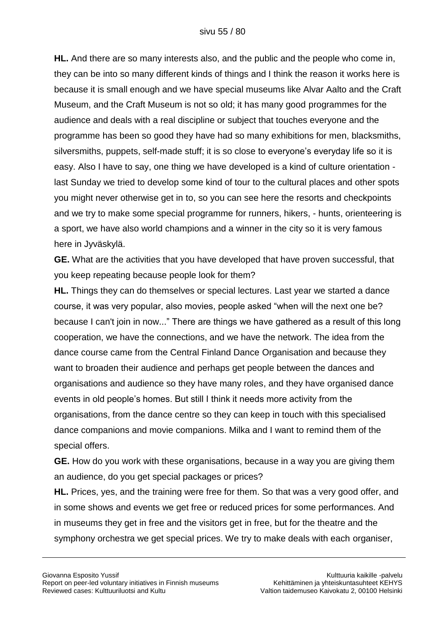**HL.** And there are so many interests also, and the public and the people who come in, they can be into so many different kinds of things and I think the reason it works here is because it is small enough and we have special museums like Alvar Aalto and the Craft Museum, and the Craft Museum is not so old; it has many good programmes for the audience and deals with a real discipline or subject that touches everyone and the programme has been so good they have had so many exhibitions for men, blacksmiths, silversmiths, puppets, self-made stuff; it is so close to everyone's everyday life so it is easy. Also I have to say, one thing we have developed is a kind of culture orientation last Sunday we tried to develop some kind of tour to the cultural places and other spots you might never otherwise get in to, so you can see here the resorts and checkpoints and we try to make some special programme for runners, hikers, - hunts, orienteering is a sport, we have also world champions and a winner in the city so it is very famous here in Jyväskylä.

**GE.** What are the activities that you have developed that have proven successful, that you keep repeating because people look for them?

**HL.** Things they can do themselves or special lectures. Last year we started a dance course, it was very popular, also movies, people asked "when will the next one be? because I can't join in now..." There are things we have gathered as a result of this long cooperation, we have the connections, and we have the network. The idea from the dance course came from the Central Finland Dance Organisation and because they want to broaden their audience and perhaps get people between the dances and organisations and audience so they have many roles, and they have organised dance events in old people"s homes. But still I think it needs more activity from the organisations, from the dance centre so they can keep in touch with this specialised dance companions and movie companions. Milka and I want to remind them of the special offers.

**GE.** How do you work with these organisations, because in a way you are giving them an audience, do you get special packages or prices?

**HL.** Prices, yes, and the training were free for them. So that was a very good offer, and in some shows and events we get free or reduced prices for some performances. And in museums they get in free and the visitors get in free, but for the theatre and the symphony orchestra we get special prices. We try to make deals with each organiser,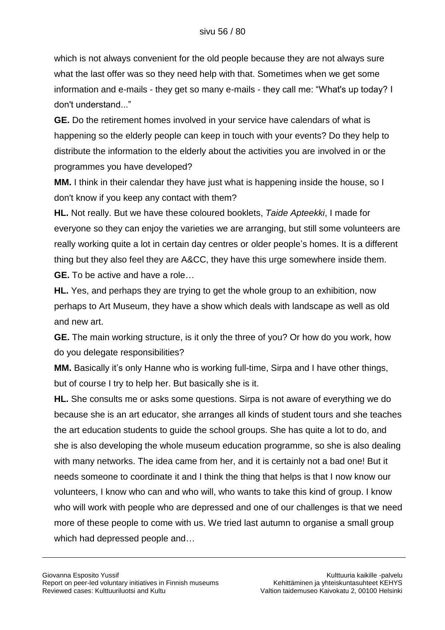which is not always convenient for the old people because they are not always sure what the last offer was so they need help with that. Sometimes when we get some information and e-mails - they get so many e-mails - they call me: "What's up today? I don't understand..."

**GE.** Do the retirement homes involved in your service have calendars of what is happening so the elderly people can keep in touch with your events? Do they help to distribute the information to the elderly about the activities you are involved in or the programmes you have developed?

**MM.** I think in their calendar they have just what is happening inside the house, so I don't know if you keep any contact with them?

**HL.** Not really. But we have these coloured booklets, *Taide Apteekki*, I made for everyone so they can enjoy the varieties we are arranging, but still some volunteers are really working quite a lot in certain day centres or older people"s homes. It is a different thing but they also feel they are A&CC, they have this urge somewhere inside them. **GE.** To be active and have a role…

**HL.** Yes, and perhaps they are trying to get the whole group to an exhibition, now perhaps to Art Museum, they have a show which deals with landscape as well as old and new art.

**GE.** The main working structure, is it only the three of you? Or how do you work, how do you delegate responsibilities?

**MM.** Basically it's only Hanne who is working full-time, Sirpa and I have other things, but of course I try to help her. But basically she is it.

**HL.** She consults me or asks some questions. Sirpa is not aware of everything we do because she is an art educator, she arranges all kinds of student tours and she teaches the art education students to guide the school groups. She has quite a lot to do, and she is also developing the whole museum education programme, so she is also dealing with many networks. The idea came from her, and it is certainly not a bad one! But it needs someone to coordinate it and I think the thing that helps is that I now know our volunteers, I know who can and who will, who wants to take this kind of group. I know who will work with people who are depressed and one of our challenges is that we need more of these people to come with us. We tried last autumn to organise a small group which had depressed people and…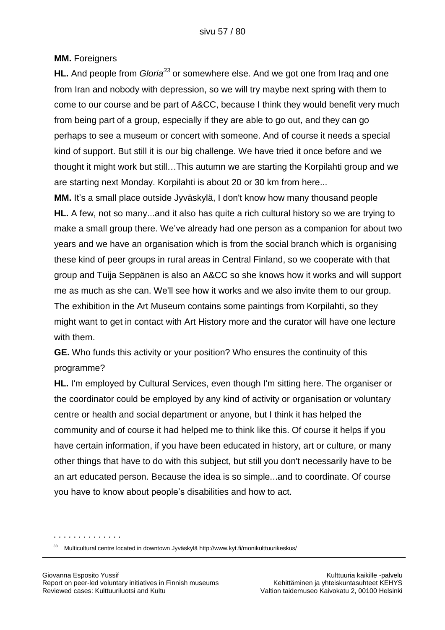#### **MM.** Foreigners

**HL.** And people from *Gloria<sup>33</sup>* or somewhere else. And we got one from Iraq and one from Iran and nobody with depression, so we will try maybe next spring with them to come to our course and be part of A&CC, because I think they would benefit very much from being part of a group, especially if they are able to go out, and they can go perhaps to see a museum or concert with someone. And of course it needs a special kind of support. But still it is our big challenge. We have tried it once before and we thought it might work but still…This autumn we are starting the Korpilahti group and we are starting next Monday. Korpilahti is about 20 or 30 km from here...

**MM.** It's a small place outside Jyväskylä, I don't know how many thousand people **HL.** A few, not so many...and it also has quite a rich cultural history so we are trying to make a small group there. We"ve already had one person as a companion for about two years and we have an organisation which is from the social branch which is organising these kind of peer groups in rural areas in Central Finland, so we cooperate with that group and Tuija Seppänen is also an A&CC so she knows how it works and will support me as much as she can. We'll see how it works and we also invite them to our group. The exhibition in the Art Museum contains some paintings from Korpilahti, so they might want to get in contact with Art History more and the curator will have one lecture with them.

**GE.** Who funds this activity or your position? Who ensures the continuity of this programme?

**HL.** I'm employed by Cultural Services, even though I'm sitting here. The organiser or the coordinator could be employed by any kind of activity or organisation or voluntary centre or health and social department or anyone, but I think it has helped the community and of course it had helped me to think like this. Of course it helps if you have certain information, if you have been educated in history, art or culture, or many other things that have to do with this subject, but still you don't necessarily have to be an art educated person. Because the idea is so simple...and to coordinate. Of course you have to know about people"s disabilities and how to act.

. . . . . . . . . . . . . .

<sup>33</sup> Multicultural centre located in downtown Jyväskylä http://www.kyt.fi/monikulttuurikeskus/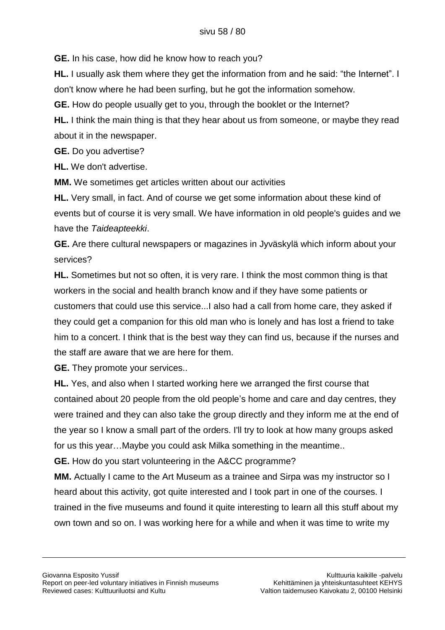**GE.** In his case, how did he know how to reach you?

**HL.** I usually ask them where they get the information from and he said: "the Internet". I don't know where he had been surfing, but he got the information somehow.

**GE.** How do people usually get to you, through the booklet or the Internet?

**HL.** I think the main thing is that they hear about us from someone, or maybe they read about it in the newspaper.

**GE.** Do you advertise?

**HL.** We don't advertise.

**MM.** We sometimes get articles written about our activities

**HL.** Very small, in fact. And of course we get some information about these kind of events but of course it is very small. We have information in old people's guides and we have the *Taideapteekki*.

**GE.** Are there cultural newspapers or magazines in Jyväskylä which inform about your services?

**HL.** Sometimes but not so often, it is very rare. I think the most common thing is that workers in the social and health branch know and if they have some patients or customers that could use this service...I also had a call from home care, they asked if they could get a companion for this old man who is lonely and has lost a friend to take him to a concert. I think that is the best way they can find us, because if the nurses and the staff are aware that we are here for them.

**GE.** They promote your services..

**HL.** Yes, and also when I started working here we arranged the first course that contained about 20 people from the old people"s home and care and day centres, they were trained and they can also take the group directly and they inform me at the end of the year so I know a small part of the orders. I'll try to look at how many groups asked for us this year…Maybe you could ask Milka something in the meantime..

**GE.** How do you start volunteering in the A&CC programme?

**MM.** Actually I came to the Art Museum as a trainee and Sirpa was my instructor so I heard about this activity, got quite interested and I took part in one of the courses. I trained in the five museums and found it quite interesting to learn all this stuff about my own town and so on. I was working here for a while and when it was time to write my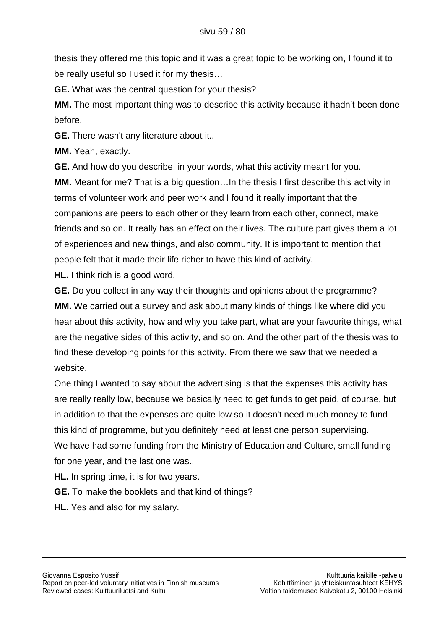thesis they offered me this topic and it was a great topic to be working on, I found it to be really useful so I used it for my thesis…

**GE.** What was the central question for your thesis?

**MM.** The most important thing was to describe this activity because it hadn"t been done before.

**GE.** There wasn't any literature about it..

**MM.** Yeah, exactly.

**GE.** And how do you describe, in your words, what this activity meant for you. **MM.** Meant for me? That is a big question…In the thesis I first describe this activity in

terms of volunteer work and peer work and I found it really important that the companions are peers to each other or they learn from each other, connect, make friends and so on. It really has an effect on their lives. The culture part gives them a lot of experiences and new things, and also community. It is important to mention that people felt that it made their life richer to have this kind of activity.

**HL.** I think rich is a good word.

**GE.** Do you collect in any way their thoughts and opinions about the programme? **MM.** We carried out a survey and ask about many kinds of things like where did you hear about this activity, how and why you take part, what are your favourite things, what are the negative sides of this activity, and so on. And the other part of the thesis was to find these developing points for this activity. From there we saw that we needed a website.

One thing I wanted to say about the advertising is that the expenses this activity has are really really low, because we basically need to get funds to get paid, of course, but in addition to that the expenses are quite low so it doesn't need much money to fund this kind of programme, but you definitely need at least one person supervising. We have had some funding from the Ministry of Education and Culture, small funding for one year, and the last one was..

**HL.** In spring time, it is for two years.

**GE.** To make the booklets and that kind of things?

**HL.** Yes and also for my salary.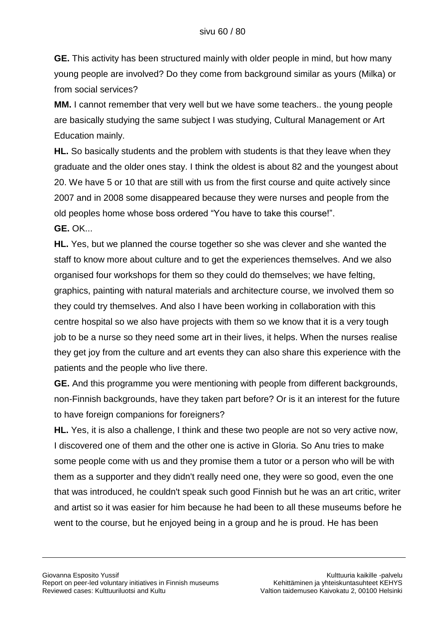**GE.** This activity has been structured mainly with older people in mind, but how many young people are involved? Do they come from background similar as yours (Milka) or from social services?

**MM.** I cannot remember that very well but we have some teachers.. the young people are basically studying the same subject I was studying, Cultural Management or Art Education mainly.

**HL.** So basically students and the problem with students is that they leave when they graduate and the older ones stay. I think the oldest is about 82 and the youngest about 20. We have 5 or 10 that are still with us from the first course and quite actively since 2007 and in 2008 some disappeared because they were nurses and people from the old peoples home whose boss ordered "You have to take this course!". **GE.** OK...

**HL.** Yes, but we planned the course together so she was clever and she wanted the staff to know more about culture and to get the experiences themselves. And we also organised four workshops for them so they could do themselves; we have felting, graphics, painting with natural materials and architecture course, we involved them so they could try themselves. And also I have been working in collaboration with this centre hospital so we also have projects with them so we know that it is a very tough job to be a nurse so they need some art in their lives, it helps. When the nurses realise they get joy from the culture and art events they can also share this experience with the patients and the people who live there.

**GE.** And this programme you were mentioning with people from different backgrounds, non-Finnish backgrounds, have they taken part before? Or is it an interest for the future to have foreign companions for foreigners?

**HL.** Yes, it is also a challenge, I think and these two people are not so very active now, I discovered one of them and the other one is active in Gloria. So Anu tries to make some people come with us and they promise them a tutor or a person who will be with them as a supporter and they didn't really need one, they were so good, even the one that was introduced, he couldn't speak such good Finnish but he was an art critic, writer and artist so it was easier for him because he had been to all these museums before he went to the course, but he enjoyed being in a group and he is proud. He has been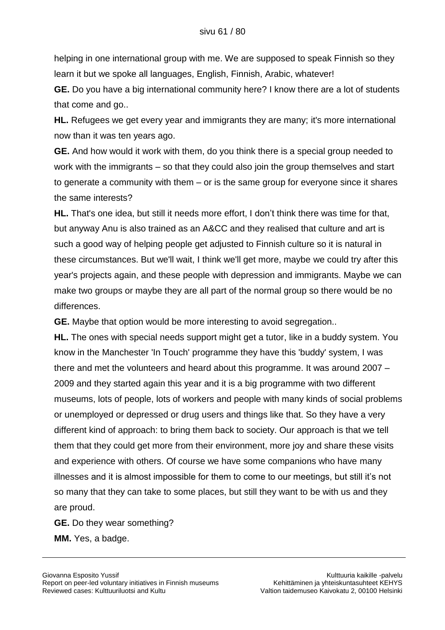helping in one international group with me. We are supposed to speak Finnish so they learn it but we spoke all languages, English, Finnish, Arabic, whatever!

**GE.** Do you have a big international community here? I know there are a lot of students that come and go..

**HL.** Refugees we get every year and immigrants they are many; it's more international now than it was ten years ago.

**GE.** And how would it work with them, do you think there is a special group needed to work with the immigrants – so that they could also join the group themselves and start to generate a community with them – or is the same group for everyone since it shares the same interests?

**HL.** That's one idea, but still it needs more effort, I don"t think there was time for that, but anyway Anu is also trained as an A&CC and they realised that culture and art is such a good way of helping people get adjusted to Finnish culture so it is natural in these circumstances. But we'll wait, I think we'll get more, maybe we could try after this year's projects again, and these people with depression and immigrants. Maybe we can make two groups or maybe they are all part of the normal group so there would be no differences.

**GE.** Maybe that option would be more interesting to avoid segregation..

**HL.** The ones with special needs support might get a tutor, like in a buddy system. You know in the Manchester 'In Touch' programme they have this 'buddy' system, I was there and met the volunteers and heard about this programme. It was around 2007 – 2009 and they started again this year and it is a big programme with two different museums, lots of people, lots of workers and people with many kinds of social problems or unemployed or depressed or drug users and things like that. So they have a very different kind of approach: to bring them back to society. Our approach is that we tell them that they could get more from their environment, more joy and share these visits and experience with others. Of course we have some companions who have many illnesses and it is almost impossible for them to come to our meetings, but still it"s not so many that they can take to some places, but still they want to be with us and they are proud.

**GE.** Do they wear something? **MM.** Yes, a badge.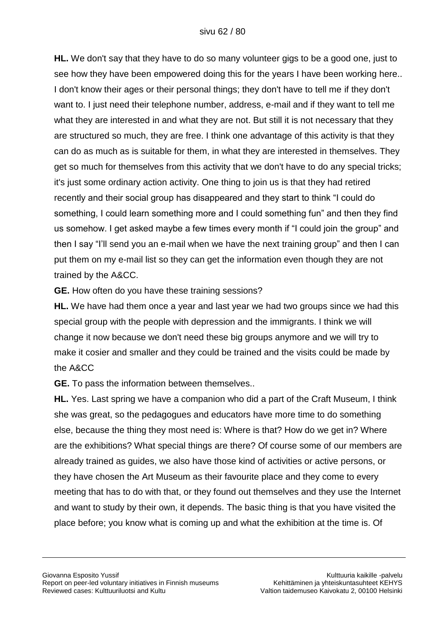**HL.** We don't say that they have to do so many volunteer gigs to be a good one, just to see how they have been empowered doing this for the years I have been working here.. I don't know their ages or their personal things; they don't have to tell me if they don't want to. I just need their telephone number, address, e-mail and if they want to tell me what they are interested in and what they are not. But still it is not necessary that they are structured so much, they are free. I think one advantage of this activity is that they can do as much as is suitable for them, in what they are interested in themselves. They get so much for themselves from this activity that we don't have to do any special tricks; it's just some ordinary action activity. One thing to join us is that they had retired recently and their social group has disappeared and they start to think "I could do something, I could learn something more and I could something fun" and then they find us somehow. I get asked maybe a few times every month if "I could join the group" and then I say "I"ll send you an e-mail when we have the next training group" and then I can put them on my e-mail list so they can get the information even though they are not trained by the A&CC.

**GE.** How often do you have these training sessions?

**HL.** We have had them once a year and last year we had two groups since we had this special group with the people with depression and the immigrants. I think we will change it now because we don't need these big groups anymore and we will try to make it cosier and smaller and they could be trained and the visits could be made by the A&CC

**GE.** To pass the information between themselves..

**HL.** Yes. Last spring we have a companion who did a part of the Craft Museum, I think she was great, so the pedagogues and educators have more time to do something else, because the thing they most need is: Where is that? How do we get in? Where are the exhibitions? What special things are there? Of course some of our members are already trained as guides, we also have those kind of activities or active persons, or they have chosen the Art Museum as their favourite place and they come to every meeting that has to do with that, or they found out themselves and they use the Internet and want to study by their own, it depends. The basic thing is that you have visited the place before; you know what is coming up and what the exhibition at the time is. Of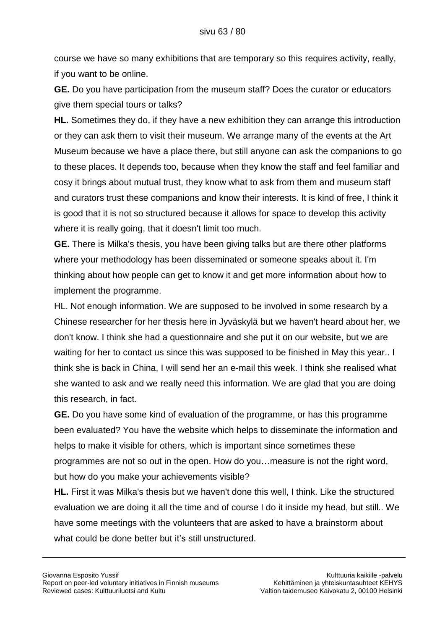course we have so many exhibitions that are temporary so this requires activity, really, if you want to be online.

**GE.** Do you have participation from the museum staff? Does the curator or educators give them special tours or talks?

**HL.** Sometimes they do, if they have a new exhibition they can arrange this introduction or they can ask them to visit their museum. We arrange many of the events at the Art Museum because we have a place there, but still anyone can ask the companions to go to these places. It depends too, because when they know the staff and feel familiar and cosy it brings about mutual trust, they know what to ask from them and museum staff and curators trust these companions and know their interests. It is kind of free, I think it is good that it is not so structured because it allows for space to develop this activity where it is really going, that it doesn't limit too much.

**GE.** There is Milka's thesis, you have been giving talks but are there other platforms where your methodology has been disseminated or someone speaks about it. I'm thinking about how people can get to know it and get more information about how to implement the programme.

HL. Not enough information. We are supposed to be involved in some research by a Chinese researcher for her thesis here in Jyväskylä but we haven't heard about her, we don't know. I think she had a questionnaire and she put it on our website, but we are waiting for her to contact us since this was supposed to be finished in May this year.. I think she is back in China, I will send her an e-mail this week. I think she realised what she wanted to ask and we really need this information. We are glad that you are doing this research, in fact.

**GE.** Do you have some kind of evaluation of the programme, or has this programme been evaluated? You have the website which helps to disseminate the information and helps to make it visible for others, which is important since sometimes these programmes are not so out in the open. How do you…measure is not the right word, but how do you make your achievements visible?

**HL.** First it was Milka's thesis but we haven't done this well, I think. Like the structured evaluation we are doing it all the time and of course I do it inside my head, but still.. We have some meetings with the volunteers that are asked to have a brainstorm about what could be done better but it's still unstructured.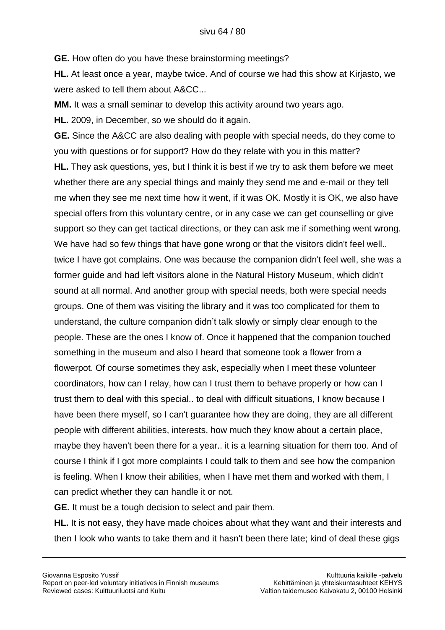**GE.** How often do you have these brainstorming meetings?

**HL.** At least once a year, maybe twice. And of course we had this show at Kirjasto, we were asked to tell them about A&CC...

**MM.** It was a small seminar to develop this activity around two years ago.

**HL.** 2009, in December, so we should do it again.

**GE.** Since the A&CC are also dealing with people with special needs, do they come to you with questions or for support? How do they relate with you in this matter? **HL.** They ask questions, yes, but I think it is best if we try to ask them before we meet whether there are any special things and mainly they send me and e-mail or they tell me when they see me next time how it went, if it was OK. Mostly it is OK, we also have special offers from this voluntary centre, or in any case we can get counselling or give support so they can get tactical directions, or they can ask me if something went wrong. We have had so few things that have gone wrong or that the visitors didn't feel well.. twice I have got complains. One was because the companion didn't feel well, she was a former guide and had left visitors alone in the Natural History Museum, which didn't sound at all normal. And another group with special needs, both were special needs groups. One of them was visiting the library and it was too complicated for them to understand, the culture companion didn"t talk slowly or simply clear enough to the people. These are the ones I know of. Once it happened that the companion touched something in the museum and also I heard that someone took a flower from a flowerpot. Of course sometimes they ask, especially when I meet these volunteer coordinators, how can I relay, how can I trust them to behave properly or how can I trust them to deal with this special.. to deal with difficult situations, I know because I have been there myself, so I can't guarantee how they are doing, they are all different people with different abilities, interests, how much they know about a certain place, maybe they haven't been there for a year.. it is a learning situation for them too. And of course I think if I got more complaints I could talk to them and see how the companion is feeling. When I know their abilities, when I have met them and worked with them, I can predict whether they can handle it or not.

**GE.** It must be a tough decision to select and pair them.

**HL.** It is not easy, they have made choices about what they want and their interests and then I look who wants to take them and it hasn't been there late; kind of deal these gigs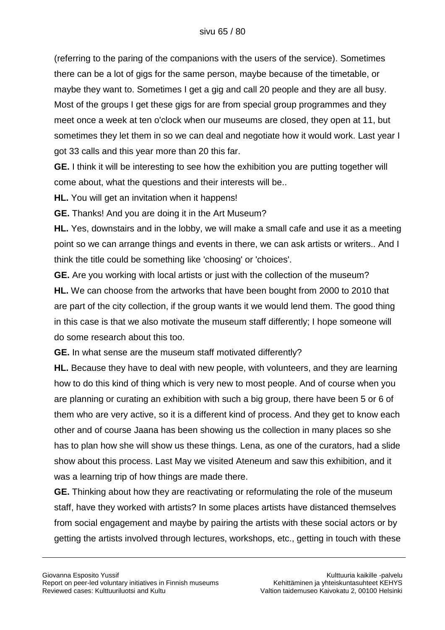(referring to the paring of the companions with the users of the service). Sometimes there can be a lot of gigs for the same person, maybe because of the timetable, or maybe they want to. Sometimes I get a gig and call 20 people and they are all busy. Most of the groups I get these gigs for are from special group programmes and they meet once a week at ten o'clock when our museums are closed, they open at 11, but sometimes they let them in so we can deal and negotiate how it would work. Last year I got 33 calls and this year more than 20 this far.

**GE.** I think it will be interesting to see how the exhibition you are putting together will come about, what the questions and their interests will be..

**HL.** You will get an invitation when it happens!

**GE.** Thanks! And you are doing it in the Art Museum?

**HL.** Yes, downstairs and in the lobby, we will make a small cafe and use it as a meeting point so we can arrange things and events in there, we can ask artists or writers.. And I think the title could be something like 'choosing' or 'choices'.

**GE.** Are you working with local artists or just with the collection of the museum? **HL.** We can choose from the artworks that have been bought from 2000 to 2010 that are part of the city collection, if the group wants it we would lend them. The good thing in this case is that we also motivate the museum staff differently; I hope someone will do some research about this too.

**GE.** In what sense are the museum staff motivated differently?

**HL.** Because they have to deal with new people, with volunteers, and they are learning how to do this kind of thing which is very new to most people. And of course when you are planning or curating an exhibition with such a big group, there have been 5 or 6 of them who are very active, so it is a different kind of process. And they get to know each other and of course Jaana has been showing us the collection in many places so she has to plan how she will show us these things. Lena, as one of the curators, had a slide show about this process. Last May we visited Ateneum and saw this exhibition, and it was a learning trip of how things are made there.

**GE.** Thinking about how they are reactivating or reformulating the role of the museum staff, have they worked with artists? In some places artists have distanced themselves from social engagement and maybe by pairing the artists with these social actors or by getting the artists involved through lectures, workshops, etc., getting in touch with these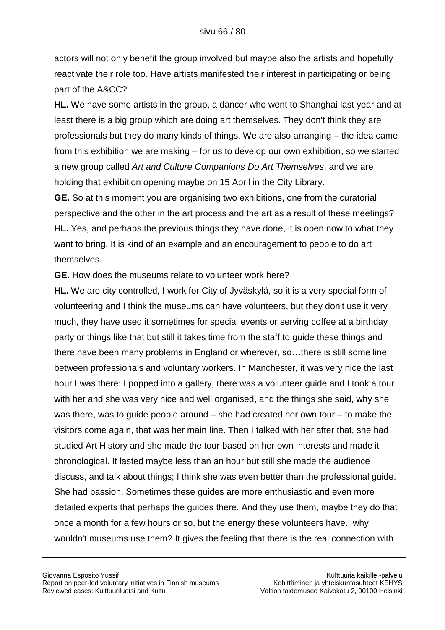actors will not only benefit the group involved but maybe also the artists and hopefully reactivate their role too. Have artists manifested their interest in participating or being part of the A&CC?

**HL.** We have some artists in the group, a dancer who went to Shanghai last year and at least there is a big group which are doing art themselves. They don't think they are professionals but they do many kinds of things. We are also arranging – the idea came from this exhibition we are making – for us to develop our own exhibition, so we started a new group called *Art and Culture Companions Do Art Themselves*, and we are holding that exhibition opening maybe on 15 April in the City Library.

**GE.** So at this moment you are organising two exhibitions, one from the curatorial perspective and the other in the art process and the art as a result of these meetings? **HL.** Yes, and perhaps the previous things they have done, it is open now to what they want to bring. It is kind of an example and an encouragement to people to do art themselves.

**GE.** How does the museums relate to volunteer work here?

**HL.** We are city controlled, I work for City of Jyväskylä, so it is a very special form of volunteering and I think the museums can have volunteers, but they don't use it very much, they have used it sometimes for special events or serving coffee at a birthday party or things like that but still it takes time from the staff to guide these things and there have been many problems in England or wherever, so…there is still some line between professionals and voluntary workers. In Manchester, it was very nice the last hour I was there: I popped into a gallery, there was a volunteer guide and I took a tour with her and she was very nice and well organised, and the things she said, why she was there, was to guide people around – she had created her own tour – to make the visitors come again, that was her main line. Then I talked with her after that, she had studied Art History and she made the tour based on her own interests and made it chronological. It lasted maybe less than an hour but still she made the audience discuss, and talk about things; I think she was even better than the professional guide. She had passion. Sometimes these guides are more enthusiastic and even more detailed experts that perhaps the guides there. And they use them, maybe they do that once a month for a few hours or so, but the energy these volunteers have.. why wouldn't museums use them? It gives the feeling that there is the real connection with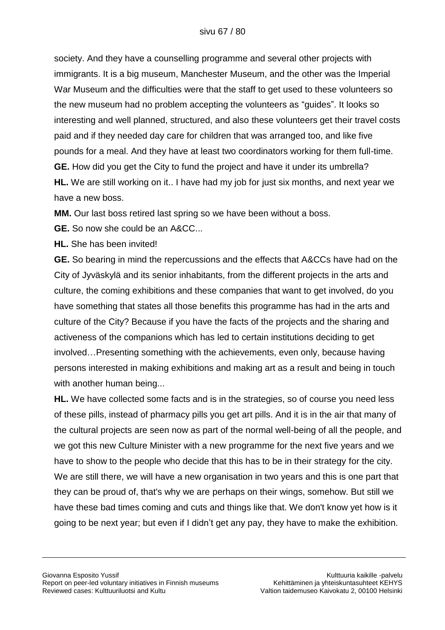society. And they have a counselling programme and several other projects with immigrants. It is a big museum, Manchester Museum, and the other was the Imperial War Museum and the difficulties were that the staff to get used to these volunteers so the new museum had no problem accepting the volunteers as "guides". It looks so interesting and well planned, structured, and also these volunteers get their travel costs paid and if they needed day care for children that was arranged too, and like five pounds for a meal. And they have at least two coordinators working for them full-time. **GE.** How did you get the City to fund the project and have it under its umbrella? **HL.** We are still working on it.. I have had my job for just six months, and next year we have a new boss.

**MM.** Our last boss retired last spring so we have been without a boss.

**GE.** So now she could be an A&CC...

**HL.** She has been invited!

**GE.** So bearing in mind the repercussions and the effects that A&CCs have had on the City of Jyväskylä and its senior inhabitants, from the different projects in the arts and culture, the coming exhibitions and these companies that want to get involved, do you have something that states all those benefits this programme has had in the arts and culture of the City? Because if you have the facts of the projects and the sharing and activeness of the companions which has led to certain institutions deciding to get involved…Presenting something with the achievements, even only, because having persons interested in making exhibitions and making art as a result and being in touch with another human being...

**HL.** We have collected some facts and is in the strategies, so of course you need less of these pills, instead of pharmacy pills you get art pills. And it is in the air that many of the cultural projects are seen now as part of the normal well-being of all the people, and we got this new Culture Minister with a new programme for the next five years and we have to show to the people who decide that this has to be in their strategy for the city. We are still there, we will have a new organisation in two years and this is one part that they can be proud of, that's why we are perhaps on their wings, somehow. But still we have these bad times coming and cuts and things like that. We don't know yet how is it going to be next year; but even if I didn"t get any pay, they have to make the exhibition.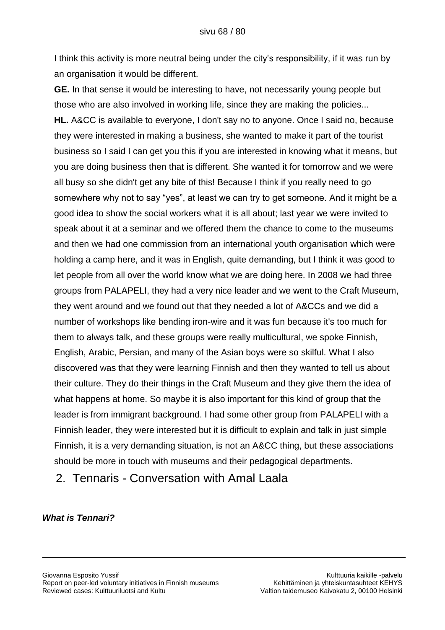I think this activity is more neutral being under the city"s responsibility, if it was run by an organisation it would be different.

**GE.** In that sense it would be interesting to have, not necessarily young people but those who are also involved in working life, since they are making the policies... **HL.** A&CC is available to everyone, I don't say no to anyone. Once I said no, because they were interested in making a business, she wanted to make it part of the tourist business so I said I can get you this if you are interested in knowing what it means, but you are doing business then that is different. She wanted it for tomorrow and we were all busy so she didn't get any bite of this! Because I think if you really need to go somewhere why not to say "yes", at least we can try to get someone. And it might be a good idea to show the social workers what it is all about; last year we were invited to speak about it at a seminar and we offered them the chance to come to the museums and then we had one commission from an international youth organisation which were holding a camp here, and it was in English, quite demanding, but I think it was good to let people from all over the world know what we are doing here. In 2008 we had three groups from PALAPELI, they had a very nice leader and we went to the Craft Museum, they went around and we found out that they needed a lot of A&CCs and we did a number of workshops like bending iron-wire and it was fun because it's too much for them to always talk, and these groups were really multicultural, we spoke Finnish, English, Arabic, Persian, and many of the Asian boys were so skilful. What I also discovered was that they were learning Finnish and then they wanted to tell us about their culture. They do their things in the Craft Museum and they give them the idea of what happens at home. So maybe it is also important for this kind of group that the leader is from immigrant background. I had some other group from PALAPELI with a Finnish leader, they were interested but it is difficult to explain and talk in just simple Finnish, it is a very demanding situation, is not an A&CC thing, but these associations should be more in touch with museums and their pedagogical departments.

2. Tennaris - Conversation with Amal Laala

*What is Tennari?*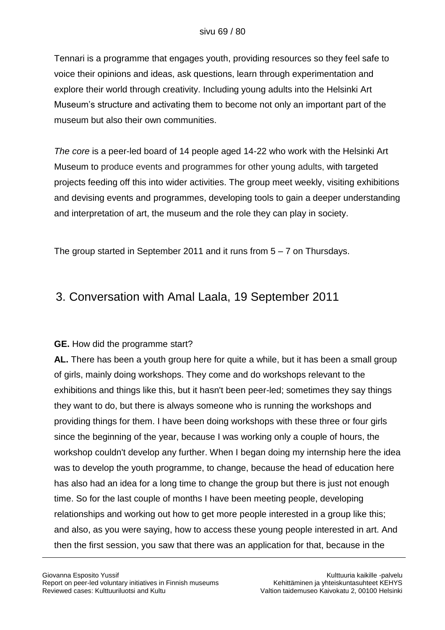Tennari is a programme that engages youth, providing resources so they feel safe to voice their opinions and ideas, ask questions, learn through experimentation and explore their world through creativity. Including young adults into the Helsinki Art Museum"s structure and activating them to become not only an important part of the museum but also their own communities.

*The core* is a peer-led board of 14 people aged 14-22 who work with the Helsinki Art Museum to produce events and programmes for other young adults, with targeted projects feeding off this into wider activities. The group meet weekly, visiting exhibitions and devising events and programmes, developing tools to gain a deeper understanding and interpretation of art, the museum and the role they can play in society.

The group started in September 2011 and it runs from  $5 - 7$  on Thursdays.

### 3. Conversation with Amal Laala, 19 September 2011

#### **GE.** How did the programme start?

**AL.** There has been a youth group here for quite a while, but it has been a small group of girls, mainly doing workshops. They come and do workshops relevant to the exhibitions and things like this, but it hasn't been peer-led; sometimes they say things they want to do, but there is always someone who is running the workshops and providing things for them. I have been doing workshops with these three or four girls since the beginning of the year, because I was working only a couple of hours, the workshop couldn't develop any further. When I began doing my internship here the idea was to develop the youth programme, to change, because the head of education here has also had an idea for a long time to change the group but there is just not enough time. So for the last couple of months I have been meeting people, developing relationships and working out how to get more people interested in a group like this; and also, as you were saying, how to access these young people interested in art. And then the first session, you saw that there was an application for that, because in the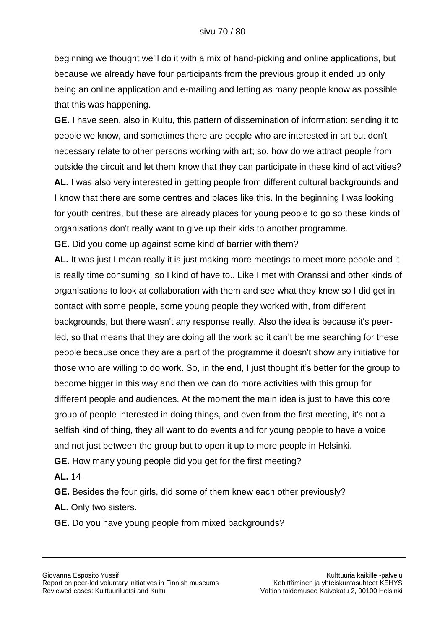beginning we thought we'll do it with a mix of hand-picking and online applications, but because we already have four participants from the previous group it ended up only being an online application and e-mailing and letting as many people know as possible that this was happening.

**GE.** I have seen, also in Kultu, this pattern of dissemination of information: sending it to people we know, and sometimes there are people who are interested in art but don't necessary relate to other persons working with art; so, how do we attract people from outside the circuit and let them know that they can participate in these kind of activities? **AL.** I was also very interested in getting people from different cultural backgrounds and I know that there are some centres and places like this. In the beginning I was looking for youth centres, but these are already places for young people to go so these kinds of organisations don't really want to give up their kids to another programme.

**GE.** Did you come up against some kind of barrier with them?

**AL.** It was just I mean really it is just making more meetings to meet more people and it is really time consuming, so I kind of have to.. Like I met with Oranssi and other kinds of organisations to look at collaboration with them and see what they knew so I did get in contact with some people, some young people they worked with, from different backgrounds, but there wasn't any response really. Also the idea is because it's peerled, so that means that they are doing all the work so it can"t be me searching for these people because once they are a part of the programme it doesn't show any initiative for those who are willing to do work. So, in the end, I just thought it"s better for the group to become bigger in this way and then we can do more activities with this group for different people and audiences. At the moment the main idea is just to have this core group of people interested in doing things, and even from the first meeting, it's not a selfish kind of thing, they all want to do events and for young people to have a voice and not just between the group but to open it up to more people in Helsinki. **GE.** How many young people did you get for the first meeting?

**AL.** 14

**GE.** Besides the four girls, did some of them knew each other previously?

**AL.** Only two sisters.

**GE.** Do you have young people from mixed backgrounds?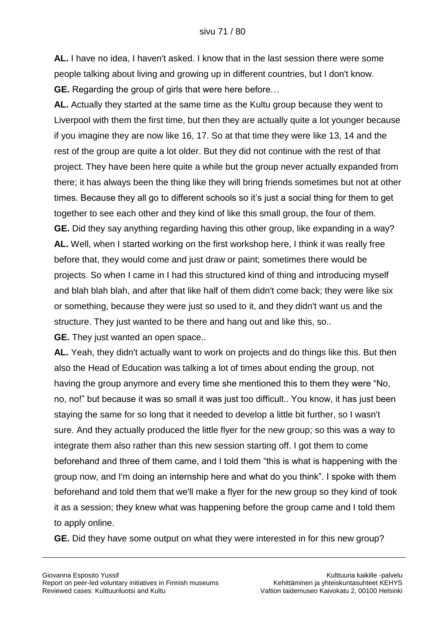**AL.** I have no idea, I haven't asked. I know that in the last session there were some people talking about living and growing up in different countries, but I don't know. **GE.** Regarding the group of girls that were here before…

**AL.** Actually they started at the same time as the Kultu group because they went to Liverpool with them the first time, but then they are actually quite a lot younger because if you imagine they are now like 16, 17. So at that time they were like 13, 14 and the rest of the group are quite a lot older. But they did not continue with the rest of that project. They have been here quite a while but the group never actually expanded from there; it has always been the thing like they will bring friends sometimes but not at other times. Because they all go to different schools so it"s just a social thing for them to get together to see each other and they kind of like this small group, the four of them. **GE.** Did they say anything regarding having this other group, like expanding in a way? **AL.** Well, when I started working on the first workshop here, I think it was really free before that, they would come and just draw or paint; sometimes there would be projects. So when I came in I had this structured kind of thing and introducing myself and blah blah blah, and after that like half of them didn't come back; they were like six or something, because they were just so used to it, and they didn't want us and the structure. They just wanted to be there and hang out and like this, so..

**GE.** They just wanted an open space..

**AL.** Yeah, they didn't actually want to work on projects and do things like this. But then also the Head of Education was talking a lot of times about ending the group, not having the group anymore and every time she mentioned this to them they were "No, no, no!" but because it was so small it was just too difficult.. You know, it has just been staying the same for so long that it needed to develop a little bit further, so I wasn't sure. And they actually produced the little flyer for the new group; so this was a way to integrate them also rather than this new session starting off. I got them to come beforehand and three of them came, and I told them "this is what is happening with the group now, and I'm doing an internship here and what do you think". I spoke with them beforehand and told them that we'll make a flyer for the new group so they kind of took it as a session; they knew what was happening before the group came and I told them to apply online.

**GE.** Did they have some output on what they were interested in for this new group?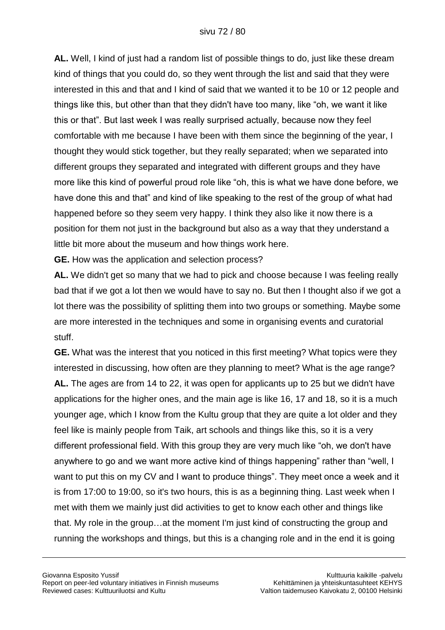**AL.** Well, I kind of just had a random list of possible things to do, just like these dream kind of things that you could do, so they went through the list and said that they were interested in this and that and I kind of said that we wanted it to be 10 or 12 people and things like this, but other than that they didn't have too many, like "oh, we want it like this or that". But last week I was really surprised actually, because now they feel comfortable with me because I have been with them since the beginning of the year, I thought they would stick together, but they really separated; when we separated into different groups they separated and integrated with different groups and they have more like this kind of powerful proud role like "oh, this is what we have done before, we have done this and that" and kind of like speaking to the rest of the group of what had happened before so they seem very happy. I think they also like it now there is a position for them not just in the background but also as a way that they understand a little bit more about the museum and how things work here.

**GE.** How was the application and selection process?

**AL.** We didn't get so many that we had to pick and choose because I was feeling really bad that if we got a lot then we would have to say no. But then I thought also if we got a lot there was the possibility of splitting them into two groups or something. Maybe some are more interested in the techniques and some in organising events and curatorial stuff.

**GE.** What was the interest that you noticed in this first meeting? What topics were they interested in discussing, how often are they planning to meet? What is the age range? **AL.** The ages are from 14 to 22, it was open for applicants up to 25 but we didn't have applications for the higher ones, and the main age is like 16, 17 and 18, so it is a much younger age, which I know from the Kultu group that they are quite a lot older and they feel like is mainly people from Taik, art schools and things like this, so it is a very different professional field. With this group they are very much like "oh, we don't have anywhere to go and we want more active kind of things happening" rather than "well, I want to put this on my CV and I want to produce things". They meet once a week and it is from 17:00 to 19:00, so it's two hours, this is as a beginning thing. Last week when I met with them we mainly just did activities to get to know each other and things like that. My role in the group…at the moment I'm just kind of constructing the group and running the workshops and things, but this is a changing role and in the end it is going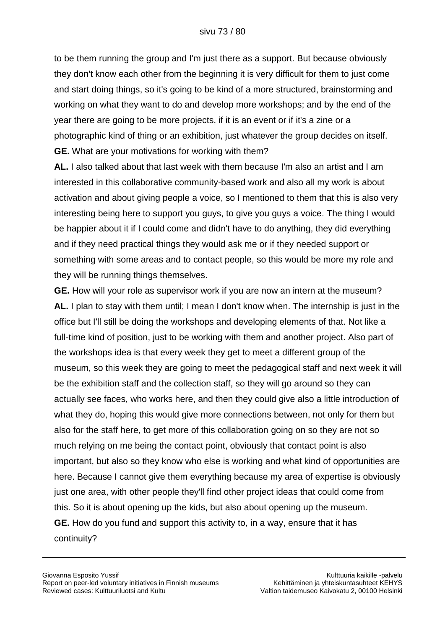to be them running the group and I'm just there as a support. But because obviously they don't know each other from the beginning it is very difficult for them to just come and start doing things, so it's going to be kind of a more structured, brainstorming and working on what they want to do and develop more workshops; and by the end of the year there are going to be more projects, if it is an event or if it's a zine or a photographic kind of thing or an exhibition, just whatever the group decides on itself. **GE.** What are your motivations for working with them?

**AL.** I also talked about that last week with them because I'm also an artist and I am interested in this collaborative community-based work and also all my work is about activation and about giving people a voice, so I mentioned to them that this is also very interesting being here to support you guys, to give you guys a voice. The thing I would be happier about it if I could come and didn't have to do anything, they did everything and if they need practical things they would ask me or if they needed support or something with some areas and to contact people, so this would be more my role and they will be running things themselves.

**GE.** How will your role as supervisor work if you are now an intern at the museum? **AL.** I plan to stay with them until; I mean I don't know when. The internship is just in the office but I'll still be doing the workshops and developing elements of that. Not like a full-time kind of position, just to be working with them and another project. Also part of the workshops idea is that every week they get to meet a different group of the museum, so this week they are going to meet the pedagogical staff and next week it will be the exhibition staff and the collection staff, so they will go around so they can actually see faces, who works here, and then they could give also a little introduction of what they do, hoping this would give more connections between, not only for them but also for the staff here, to get more of this collaboration going on so they are not so much relying on me being the contact point, obviously that contact point is also important, but also so they know who else is working and what kind of opportunities are here. Because I cannot give them everything because my area of expertise is obviously just one area, with other people they'll find other project ideas that could come from this. So it is about opening up the kids, but also about opening up the museum. **GE.** How do you fund and support this activity to, in a way, ensure that it has continuity?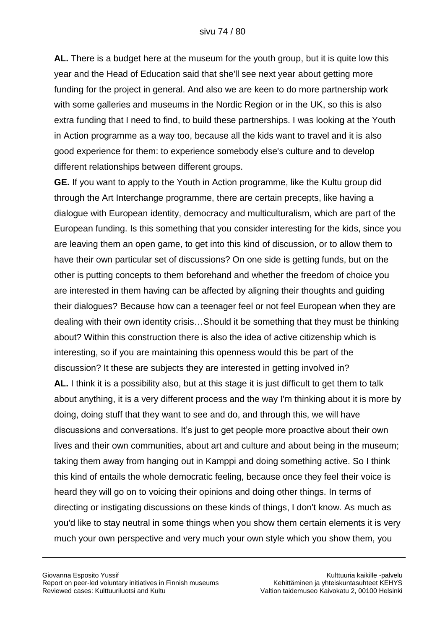**AL.** There is a budget here at the museum for the youth group, but it is quite low this year and the Head of Education said that she'll see next year about getting more funding for the project in general. And also we are keen to do more partnership work with some galleries and museums in the Nordic Region or in the UK, so this is also extra funding that I need to find, to build these partnerships. I was looking at the Youth in Action programme as a way too, because all the kids want to travel and it is also good experience for them: to experience somebody else's culture and to develop different relationships between different groups.

**GE.** If you want to apply to the Youth in Action programme, like the Kultu group did through the Art Interchange programme, there are certain precepts, like having a dialogue with European identity, democracy and multiculturalism, which are part of the European funding. Is this something that you consider interesting for the kids, since you are leaving them an open game, to get into this kind of discussion, or to allow them to have their own particular set of discussions? On one side is getting funds, but on the other is putting concepts to them beforehand and whether the freedom of choice you are interested in them having can be affected by aligning their thoughts and guiding their dialogues? Because how can a teenager feel or not feel European when they are dealing with their own identity crisis…Should it be something that they must be thinking about? Within this construction there is also the idea of active citizenship which is interesting, so if you are maintaining this openness would this be part of the discussion? It these are subjects they are interested in getting involved in? **AL.** I think it is a possibility also, but at this stage it is just difficult to get them to talk about anything, it is a very different process and the way I'm thinking about it is more by doing, doing stuff that they want to see and do, and through this, we will have discussions and conversations. It"s just to get people more proactive about their own lives and their own communities, about art and culture and about being in the museum; taking them away from hanging out in Kamppi and doing something active. So I think this kind of entails the whole democratic feeling, because once they feel their voice is heard they will go on to voicing their opinions and doing other things. In terms of directing or instigating discussions on these kinds of things, I don't know. As much as you'd like to stay neutral in some things when you show them certain elements it is very much your own perspective and very much your own style which you show them, you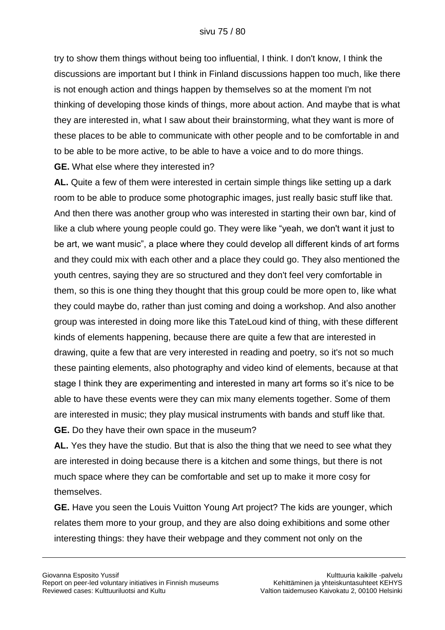try to show them things without being too influential, I think. I don't know, I think the discussions are important but I think in Finland discussions happen too much, like there is not enough action and things happen by themselves so at the moment I'm not thinking of developing those kinds of things, more about action. And maybe that is what they are interested in, what I saw about their brainstorming, what they want is more of these places to be able to communicate with other people and to be comfortable in and to be able to be more active, to be able to have a voice and to do more things. **GE.** What else where they interested in?

**AL.** Quite a few of them were interested in certain simple things like setting up a dark room to be able to produce some photographic images, just really basic stuff like that. And then there was another group who was interested in starting their own bar, kind of like a club where young people could go. They were like "yeah, we don't want it just to be art, we want music", a place where they could develop all different kinds of art forms and they could mix with each other and a place they could go. They also mentioned the youth centres, saying they are so structured and they don't feel very comfortable in them, so this is one thing they thought that this group could be more open to, like what they could maybe do, rather than just coming and doing a workshop. And also another group was interested in doing more like this TateLoud kind of thing, with these different kinds of elements happening, because there are quite a few that are interested in drawing, quite a few that are very interested in reading and poetry, so it's not so much these painting elements, also photography and video kind of elements, because at that stage I think they are experimenting and interested in many art forms so it's nice to be able to have these events were they can mix many elements together. Some of them are interested in music; they play musical instruments with bands and stuff like that. **GE.** Do they have their own space in the museum?

**AL.** Yes they have the studio. But that is also the thing that we need to see what they are interested in doing because there is a kitchen and some things, but there is not much space where they can be comfortable and set up to make it more cosy for themselves.

**GE.** Have you seen the Louis Vuitton Young Art project? The kids are younger, which relates them more to your group, and they are also doing exhibitions and some other interesting things: they have their webpage and they comment not only on the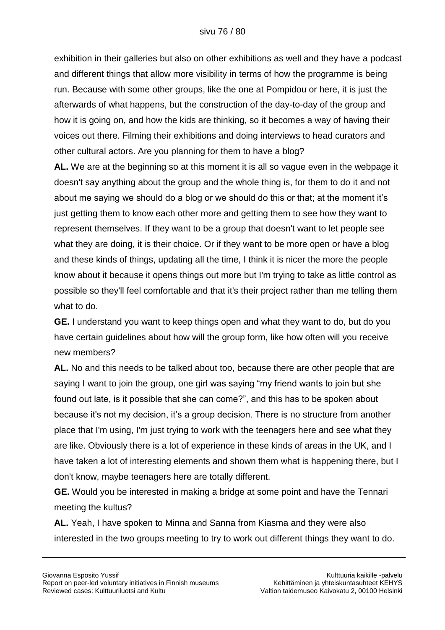exhibition in their galleries but also on other exhibitions as well and they have a podcast and different things that allow more visibility in terms of how the programme is being run. Because with some other groups, like the one at Pompidou or here, it is just the afterwards of what happens, but the construction of the day-to-day of the group and how it is going on, and how the kids are thinking, so it becomes a way of having their voices out there. Filming their exhibitions and doing interviews to head curators and other cultural actors. Are you planning for them to have a blog?

**AL.** We are at the beginning so at this moment it is all so vague even in the webpage it doesn't say anything about the group and the whole thing is, for them to do it and not about me saying we should do a blog or we should do this or that; at the moment it"s just getting them to know each other more and getting them to see how they want to represent themselves. If they want to be a group that doesn't want to let people see what they are doing, it is their choice. Or if they want to be more open or have a blog and these kinds of things, updating all the time, I think it is nicer the more the people know about it because it opens things out more but I'm trying to take as little control as possible so they'll feel comfortable and that it's their project rather than me telling them what to do.

**GE.** I understand you want to keep things open and what they want to do, but do you have certain guidelines about how will the group form, like how often will you receive new members?

**AL.** No and this needs to be talked about too, because there are other people that are saying I want to join the group, one girl was saying "my friend wants to join but she found out late, is it possible that she can come?", and this has to be spoken about because it's not my decision, it"s a group decision. There is no structure from another place that I'm using, I'm just trying to work with the teenagers here and see what they are like. Obviously there is a lot of experience in these kinds of areas in the UK, and I have taken a lot of interesting elements and shown them what is happening there, but I don't know, maybe teenagers here are totally different.

**GE.** Would you be interested in making a bridge at some point and have the Tennari meeting the kultus?

**AL.** Yeah, I have spoken to Minna and Sanna from Kiasma and they were also interested in the two groups meeting to try to work out different things they want to do.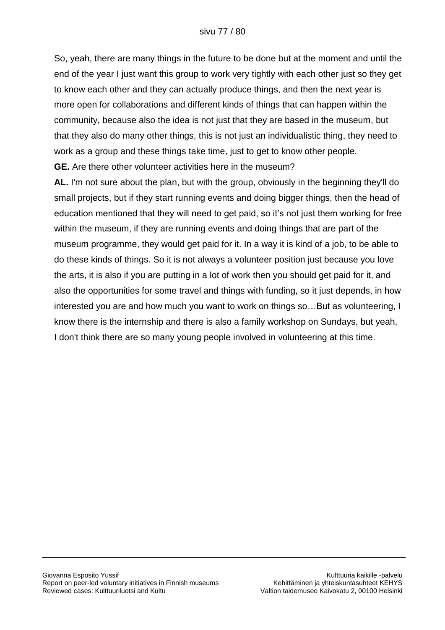So, yeah, there are many things in the future to be done but at the moment and until the end of the year I just want this group to work very tightly with each other just so they get to know each other and they can actually produce things, and then the next year is more open for collaborations and different kinds of things that can happen within the community, because also the idea is not just that they are based in the museum, but that they also do many other things, this is not just an individualistic thing, they need to work as a group and these things take time, just to get to know other people.

**GE.** Are there other volunteer activities here in the museum?

**AL.** I'm not sure about the plan, but with the group, obviously in the beginning they'll do small projects, but if they start running events and doing bigger things, then the head of education mentioned that they will need to get paid, so it"s not just them working for free within the museum, if they are running events and doing things that are part of the museum programme, they would get paid for it. In a way it is kind of a job, to be able to do these kinds of things. So it is not always a volunteer position just because you love the arts, it is also if you are putting in a lot of work then you should get paid for it, and also the opportunities for some travel and things with funding, so it just depends, in how interested you are and how much you want to work on things so…But as volunteering, I know there is the internship and there is also a family workshop on Sundays, but yeah, I don't think there are so many young people involved in volunteering at this time.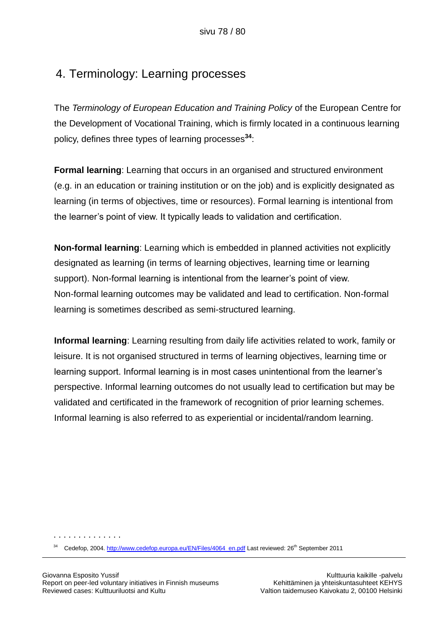## 4. Terminology: Learning processes

The *Terminology of European Education and Training Policy* of the European Centre for the Development of Vocational Training, which is firmly located in a continuous learning policy, defines three types of learning processes**<sup>34</sup>**:

**Formal learning**: Learning that occurs in an organised and structured environment (e.g. in an education or training institution or on the job) and is explicitly designated as learning (in terms of objectives, time or resources). Formal learning is intentional from the learner"s point of view. It typically leads to validation and certification.

**Non-formal learning**: Learning which is embedded in planned activities not explicitly designated as learning (in terms of learning objectives, learning time or learning support). Non-formal learning is intentional from the learner's point of view. Non-formal learning outcomes may be validated and lead to certification. Non-formal learning is sometimes described as semi-structured learning.

**Informal learning**: Learning resulting from daily life activities related to work, family or leisure. It is not organised structured in terms of learning objectives, learning time or learning support. Informal learning is in most cases unintentional from the learner"s perspective. Informal learning outcomes do not usually lead to certification but may be validated and certificated in the framework of recognition of prior learning schemes. Informal learning is also referred to as experiential or incidental/random learning.

<sup>34</sup> Cedefop, 2004. [http://www.cedefop.europa.eu/EN/Files/4064\\_en.pdf](http://www.cedefop.europa.eu/EN/Files/4064_en.pdf) Last reviewed: 26<sup>th</sup> September 2011

. . . . . . . . . . . . . .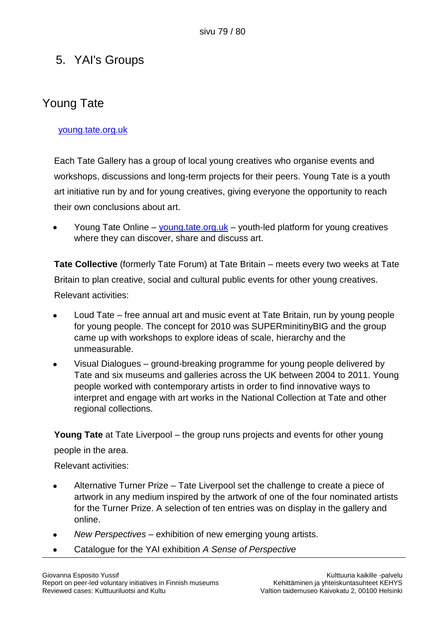## 5. YAI's Groups

# Young Tate

### [young.tate.org.uk](http://young.tate.org.uk/)

Each Tate Gallery has a group of local young creatives who organise events and workshops, discussions and long-term projects for their peers. Young Tate is a youth art initiative run by and for young creatives, giving everyone the opportunity to reach their own conclusions about art.

Young Tate Online – [young.tate.org.uk](http://young.tate.org.uk/) – youth-led platform for young creatives where they can discover, share and discuss art.

**Tate Collective** (formerly Tate Forum) at Tate Britain – meets every two weeks at Tate Britain to plan creative, social and cultural public events for other young creatives. Relevant activities:

- Loud Tate free annual art and music event at Tate Britain, run by young people for young people. The concept for 2010 was SUPERminitinyBIG and the group came up with workshops to explore ideas of scale, hierarchy and the unmeasurable.
- Visual Dialogues ground-breaking programme for young people delivered by Tate and six museums and galleries across the UK between 2004 to 2011. Young people worked with contemporary artists in order to find innovative ways to interpret and engage with art works in the National Collection at Tate and other regional collections.

**Young Tate** at Tate Liverpool – the group runs projects and events for other young people in the area.

Relevant activities:

- Alternative Turner Prize Tate Liverpool set the challenge to create a piece of artwork in any medium inspired by the artwork of one of the four nominated artists for the Turner Prize. A selection of ten entries was on display in the gallery and online.
- *New Perspectives* exhibition of new emerging young artists.  $\bullet$
- Catalogue for the YAI exhibition *A Sense of Perspective*